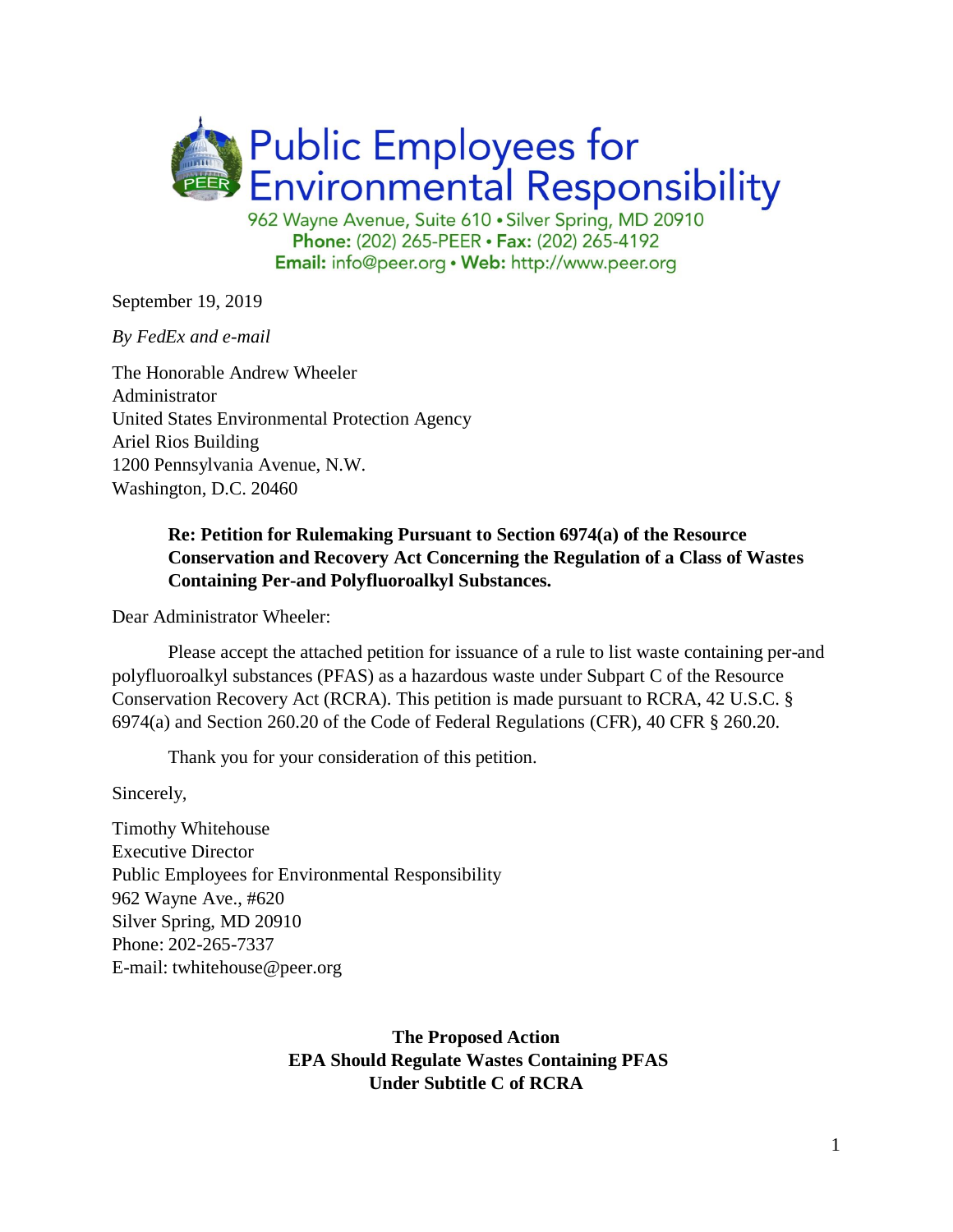

Phone: (202) 265-PEER · Fax: (202) 265-4192 Email: info@peer.org . Web: http://www.peer.org

September 19, 2019

*By FedEx and e-mail*

The Honorable Andrew Wheeler Administrator United States Environmental Protection Agency Ariel Rios Building 1200 Pennsylvania Avenue, N.W. Washington, D.C. 20460

## **Re: Petition for Rulemaking Pursuant to Section 6974(a) of the Resource Conservation and Recovery Act Concerning the Regulation of a Class of Wastes Containing Per-and Polyfluoroalkyl Substances.**

Dear Administrator Wheeler:

Please accept the attached petition for issuance of a rule to list waste containing per-and polyfluoroalkyl substances (PFAS) as a hazardous waste under Subpart C of the Resource Conservation Recovery Act (RCRA). This petition is made pursuant to RCRA, 42 U.S.C. § 6974(a) and Section 260.20 of the Code of Federal Regulations (CFR), 40 CFR § 260.20.

Thank you for your consideration of this petition.

Sincerely,

Timothy Whitehouse Executive Director Public Employees for Environmental Responsibility 962 Wayne Ave., #620 Silver Spring, MD 20910 Phone: 202-265-7337 E-mail: twhitehouse@peer.org

> **The Proposed Action EPA Should Regulate Wastes Containing PFAS Under Subtitle C of RCRA**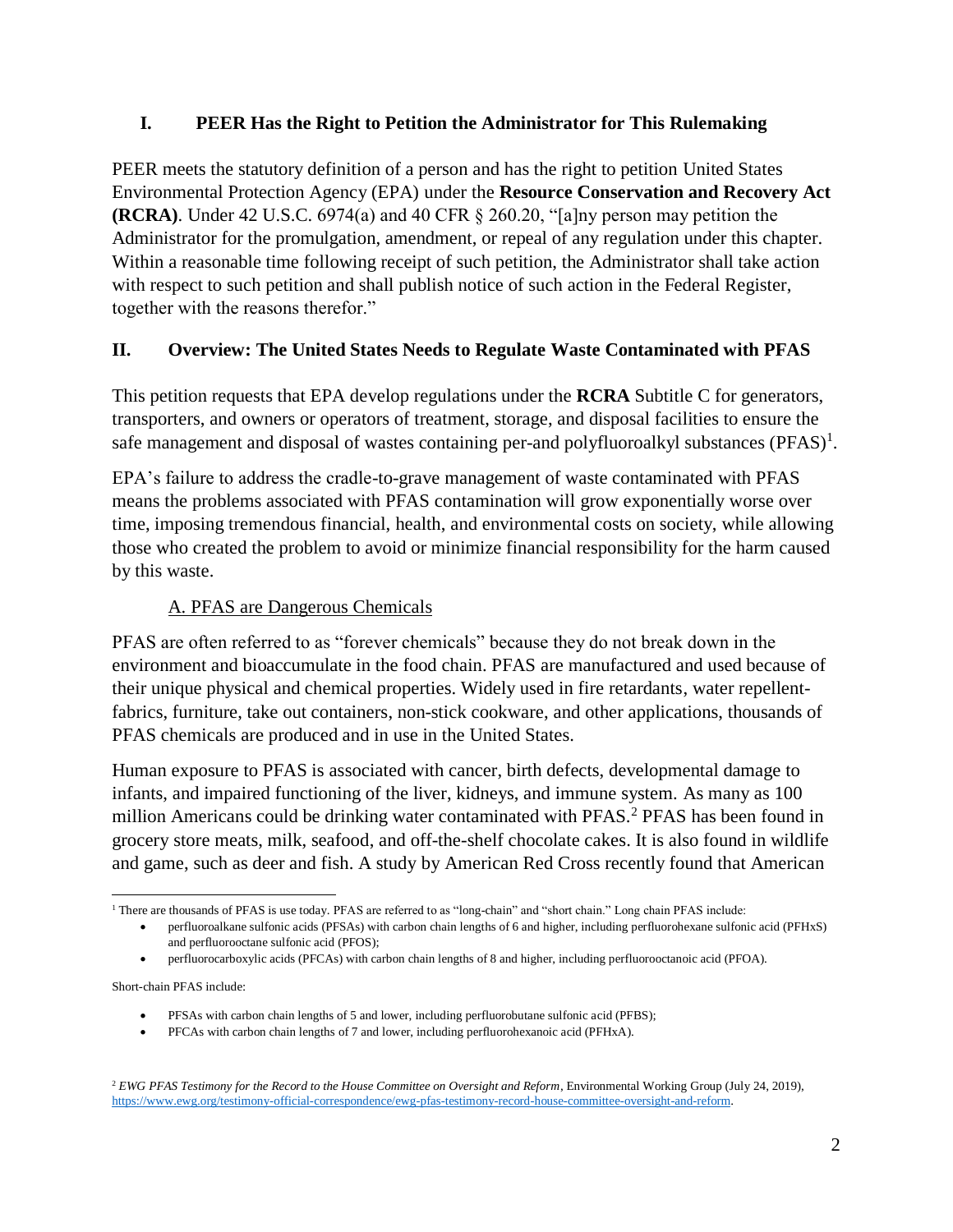## **I. PEER Has the Right to Petition the Administrator for This Rulemaking**

PEER meets the statutory definition of a person and has the right to petition United States Environmental Protection Agency (EPA) under the **Resource Conservation and Recovery Act (RCRA)**. Under 42 U.S.C. 6974(a) and 40 CFR § 260.20, "[a]ny person may petition the Administrator for the promulgation, amendment, or repeal of any regulation under this chapter. Within a reasonable time following receipt of such petition, the Administrator shall take action with respect to such petition and shall publish notice of such action in the Federal Register, together with the reasons therefor."

## **II. Overview: The United States Needs to Regulate Waste Contaminated with PFAS**

This petition requests that EPA develop regulations under the **RCRA** Subtitle C for generators, transporters, and owners or operators of treatment, storage, and disposal facilities to ensure the safe management and disposal of wastes containing per-and polyfluoroalkyl substances (PFAS)<sup>1</sup>.

EPA's failure to address the cradle-to-grave management of waste contaminated with PFAS means the problems associated with PFAS contamination will grow exponentially worse over time, imposing tremendous financial, health, and environmental costs on society, while allowing those who created the problem to avoid or minimize financial responsibility for the harm caused by this waste.

# A. PFAS are Dangerous Chemicals

PFAS are often referred to as "forever chemicals" because they do not break down in the environment and bioaccumulate in the food chain. PFAS are manufactured and used because of their unique physical and chemical properties. Widely used in fire retardants, water repellentfabrics, furniture, take out containers, non-stick cookware, and other applications, thousands of PFAS chemicals are produced and in use in the United States.

Human exposure to PFAS is associated with cancer, birth defects, developmental damage to infants, and impaired functioning of the liver, kidneys, and immune system. As many as 100 million Americans could be drinking water contaminated with PFAS.<sup>2</sup> PFAS has been found in grocery store meats, milk, seafood, and off-the-shelf chocolate cakes. It is also found in wildlife and game, such as deer and fish. A study by American Red Cross recently found that American

Short-chain PFAS include:

- PFSAs with carbon chain lengths of 5 and lower, including perfluorobutane sulfonic acid (PFBS);
- PFCAs with carbon chain lengths of 7 and lower, including perfluorohexanoic acid (PFHxA).

l <sup>1</sup> There are thousands of PFAS is use today. PFAS are referred to as ["long-chain"](http://www.oecd.org/ehs/pfc/) and "short chain." Long chain PFAS include:

<span id="page-1-0"></span><sup>•</sup> perfluoroalkane sulfonic acids (PFSAs) with carbon chain lengths of 6 and higher, including perfluorohexane sulfonic acid (PFHxS) and perfluorooctane sulfonic acid (PFOS);

<sup>•</sup> perfluorocarboxylic acids (PFCAs) with carbon chain lengths of 8 and higher, including perfluorooctanoic acid (PFOA).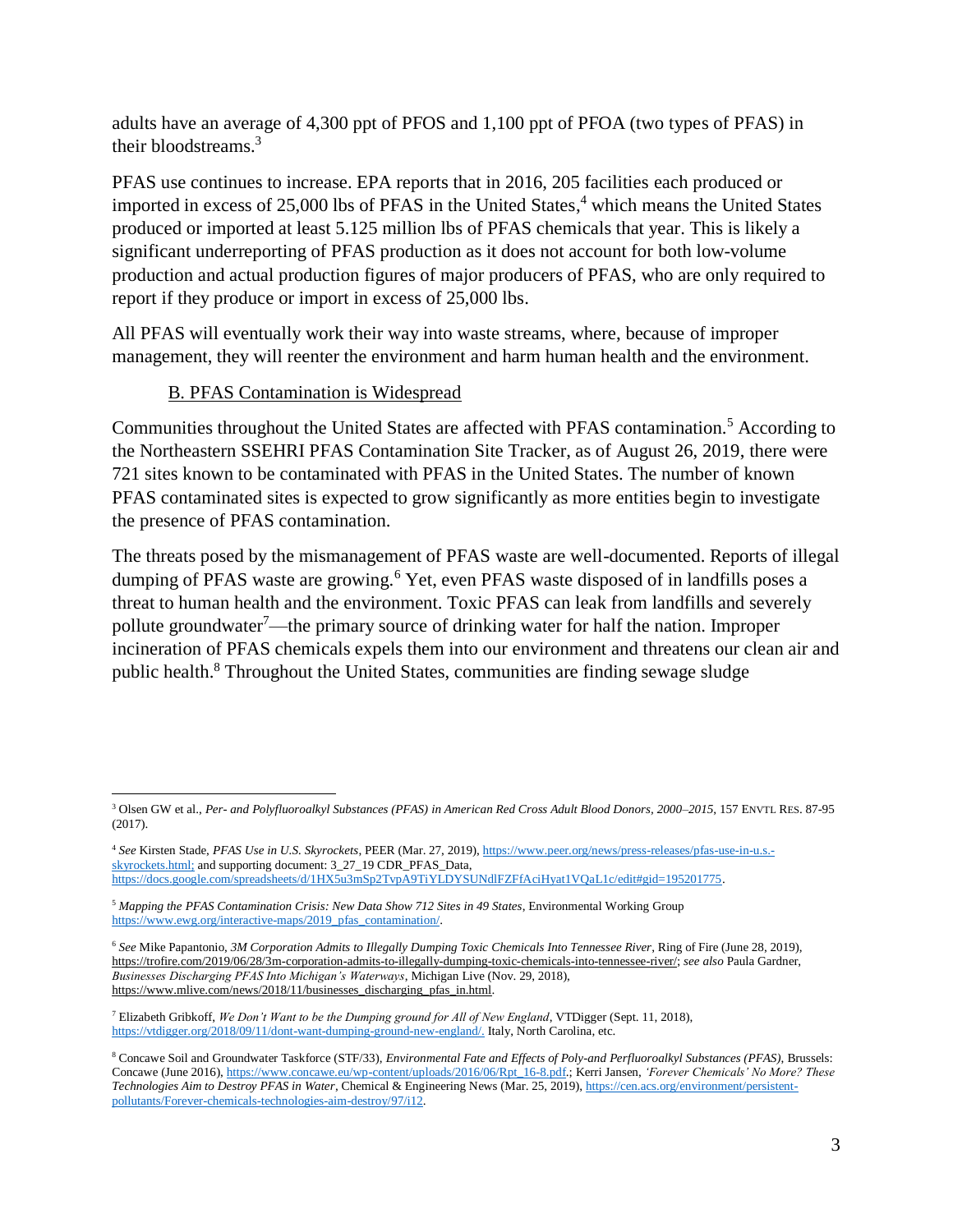<span id="page-2-3"></span>adults have an average of 4,300 ppt of PFOS and 1,100 ppt of PFOA (two types of PFAS) in their bloodstreams.<sup>3</sup>

PFAS use continues to increase. EPA reports that in 2016, 205 facilities each produced or imported in excess of 25,000 lbs of PFAS in the United States, <sup>4</sup> which means the United States produced or imported at least 5.125 million lbs of PFAS chemicals that year. This is likely a significant underreporting of PFAS production as it does not account for both low-volume production and actual production figures of major producers of PFAS, who are only required to report if they produce or import in excess of 25,000 lbs.

All PFAS will eventually work their way into waste streams, where, because of improper management, they will reenter the environment and harm human health and the environment.

## <span id="page-2-1"></span>B. PFAS Contamination is Widespread

Communities throughout the United States are affected with PFAS contamination.<sup>5</sup> According to the Northeastern SSEHRI PFAS Contamination Site Tracker, as of August 26, 2019, there were 721 sites known to be contaminated with PFAS in the United States. The number of known PFAS contaminated sites is expected to grow significantly as more entities begin to investigate the presence of PFAS contamination.

<span id="page-2-2"></span><span id="page-2-0"></span>The threats posed by the mismanagement of PFAS waste are well-documented. Reports of illegal dumping of PFAS waste are growing.<sup>6</sup> Yet, even PFAS waste disposed of in landfills poses a threat to human health and the environment. Toxic PFAS can leak from landfills and severely pollute groundwater<sup>7</sup>—the primary source of drinking water for half the nation. Improper incineration of PFAS chemicals expels them into our environment and threatens our clean air and public health.<sup>8</sup> Throughout the United States, communities are finding sewage sludge

 $\overline{a}$ <sup>3</sup> Olsen GW et al., *Per- and Polyfluoroalkyl Substances (PFAS) in American Red Cross Adult Blood Donors, 2000–2015*, 157 ENVTL RES. 87-95 (2017).

<sup>4</sup> *See* Kirsten Stade, *PFAS Use in U.S. Skyrockets*, PEER (Mar. 27, 2019), [https://www.peer.org/news/press-releases/pfas-use-in-u.s.](https://www.peer.org/news/press-releases/pfas-use-in-u.s.-skyrockets.html) [skyrockets.html;](https://www.peer.org/news/press-releases/pfas-use-in-u.s.-skyrockets.html) and supporting document: 3\_27\_19 CDR\_PFAS\_Data, [https://docs.google.com/spreadsheets/d/1HX5u3mSp2TvpA9TiYLDYSUNdlFZFfAciHyat1VQaL1c/edit#gid=195201775.](https://docs.google.com/spreadsheets/d/1HX5u3mSp2TvpA9TiYLDYSUNdlFZFfAciHyat1VQaL1c/edit#gid=195201775)

<sup>5</sup> *Mapping the PFAS Contamination Crisis: New Data Show 712 Sites in 49 States*, Environmental Working Group [https://www.ewg.org/interactive-maps/2019\\_pfas\\_contamination/.](https://www.ewg.org/interactive-maps/2019_pfas_contamination/)

<sup>6</sup> *See* Mike Papantonio, *3M Corporation Admits to Illegally Dumping Toxic Chemicals Into Tennessee River*, Ring of Fire (June 28, 2019), [https://trofire.com/2019/06/28/3m-corporation-admits-to-illegally-dumping-toxic-chemicals-into-tennessee-river/;](https://trofire.com/2019/06/28/3m-corporation-admits-to-illegally-dumping-toxic-chemicals-into-tennessee-river/) *see also* Paula Gardner, *Businesses Discharging PFAS Into Michigan's Waterways*, Michigan Live (Nov. 29, 2018), [https://www.mlive.com/news/2018/11/businesses\\_discharging\\_pfas\\_in.html.](https://www.mlive.com/news/2018/11/businesses_discharging_pfas_in.html)

<sup>7</sup> Elizabeth Gribkoff, *We Don't Want to be the Dumping ground for All of New England*, VTDigger (Sept. 11, 2018), [https://vtdigger.org/2018/09/11/dont-want-dumping-ground-new-england/.](https://vtdigger.org/2018/09/11/dont-want-dumping-ground-new-england/) Italy, North Carolina, etc.

<sup>8</sup> Concawe Soil and Groundwater Taskforce (STF/33), *Environmental Fate and Effects of Poly-and Perfluoroalkyl Substances (PFAS)*, Brussels: Concawe (June 2016), [https://www.concawe.eu/wp-content/uploads/2016/06/Rpt\\_16-8.pdf.;](https://www.concawe.eu/wp-content/uploads/2016/06/Rpt_16-8.pdf) Kerri Jansen, *'Forever Chemicals' No More? These Technologies Aim to Destroy PFAS in Water*, Chemical & Engineering News (Mar. 25, 2019)[, https://cen.acs.org/environment/persistent](https://cen.acs.org/environment/persistent-pollutants/Forever-chemicals-technologies-aim-destroy/97/i12)[pollutants/Forever-chemicals-technologies-aim-destroy/97/i12.](https://cen.acs.org/environment/persistent-pollutants/Forever-chemicals-technologies-aim-destroy/97/i12)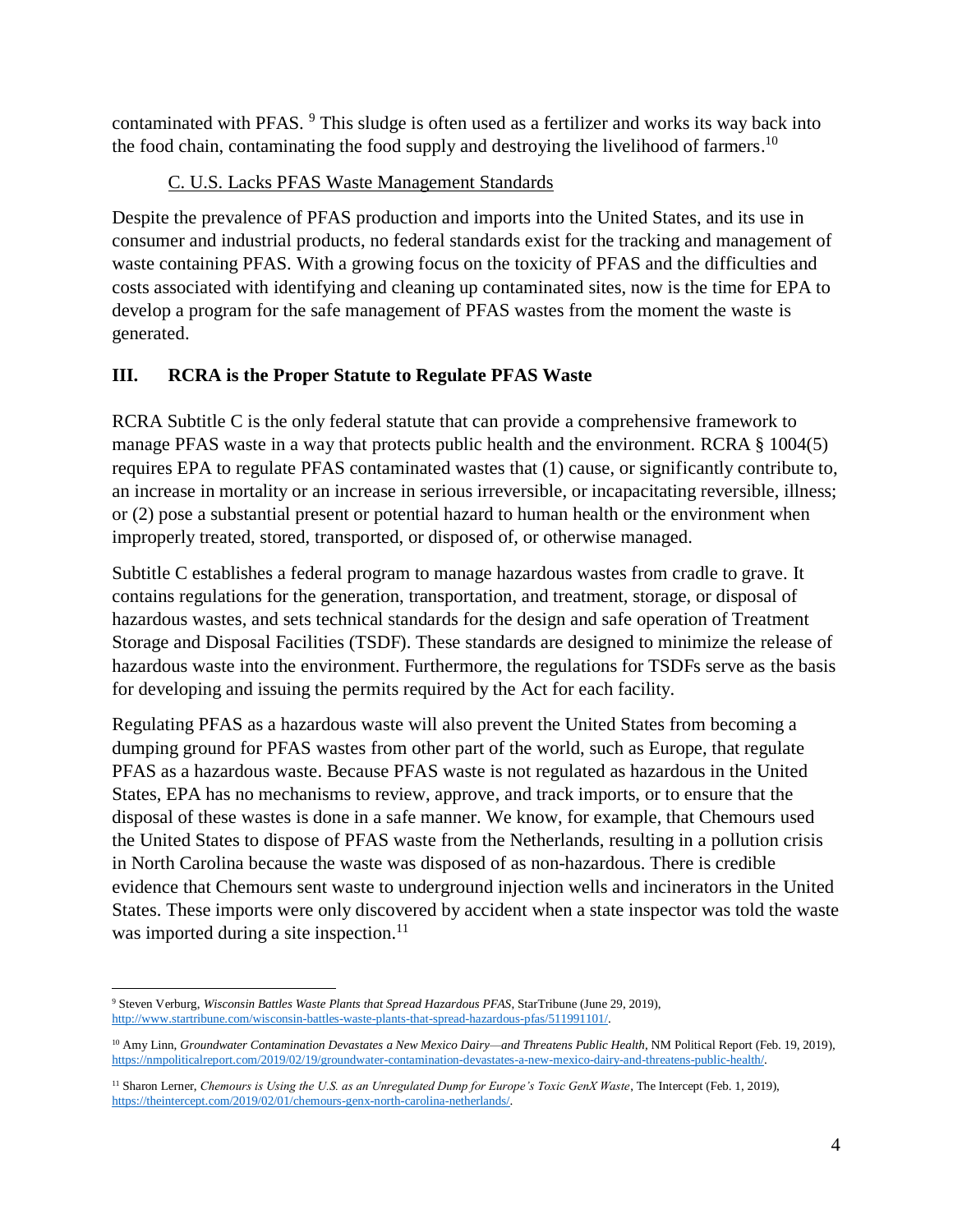contaminated with PFAS. <sup>9</sup> This sludge is often used as a fertilizer and works its way back into the food chain, contaminating the food supply and destroying the livelihood of farmers.<sup>10</sup>

## C. U.S. Lacks PFAS Waste Management Standards

Despite the prevalence of PFAS production and imports into the United States, and its use in consumer and industrial products, no federal standards exist for the tracking and management of waste containing PFAS. With a growing focus on the toxicity of PFAS and the difficulties and costs associated with identifying and cleaning up contaminated sites, now is the time for EPA to develop a program for the safe management of PFAS wastes from the moment the waste is generated.

## **III. RCRA is the Proper Statute to Regulate PFAS Waste**

RCRA Subtitle C is the only federal statute that can provide a comprehensive framework to manage PFAS waste in a way that protects public health and the environment. RCRA § 1004(5) requires EPA to regulate PFAS contaminated wastes that (1) cause, or significantly contribute to, an increase in mortality or an increase in serious irreversible, or incapacitating reversible, illness; or (2) pose a substantial present or potential hazard to human health or the environment when improperly treated, stored, transported, or disposed of, or otherwise managed.

Subtitle C establishes a federal program to manage hazardous wastes from cradle to grave. It contains regulations for the generation, transportation, and treatment, storage, or disposal of hazardous wastes, and sets technical standards for the design and safe operation of Treatment Storage and Disposal Facilities (TSDF). These standards are designed to minimize the release of hazardous waste into the environment. Furthermore, the regulations for TSDFs serve as the basis for developing and issuing the permits required by the Act for each facility.

Regulating PFAS as a hazardous waste will also prevent the United States from becoming a dumping ground for PFAS wastes from other part of the world, such as Europe, that regulate PFAS as a hazardous waste. Because PFAS waste is not regulated as hazardous in the United States, EPA has no mechanisms to review, approve, and track imports, or to ensure that the disposal of these wastes is done in a safe manner. We know, for example, that Chemours used the United States to dispose of PFAS waste from the Netherlands, resulting in a pollution crisis in North Carolina because the waste was disposed of as non-hazardous. There is credible evidence that Chemours sent waste to underground injection wells and incinerators in the United States. These imports were only discovered by accident when a state inspector was told the waste was imported during a site inspection.<sup>11</sup>

 $\overline{a}$ <sup>9</sup> Steven Verburg, *Wisconsin Battles Waste Plants that Spread Hazardous PFAS*, StarTribune (June 29, 2019), [http://www.startribune.com/wisconsin-battles-waste-plants-that-spread-hazardous-pfas/511991101/.](http://www.startribune.com/wisconsin-battles-waste-plants-that-spread-hazardous-pfas/511991101/)

<sup>&</sup>lt;sup>10</sup> Amy Linn, *Groundwater Contamination Devastates a New Mexico Dairy—and Threatens Public Health*, NM Political Report (Feb. 19, 2019), [https://nmpoliticalreport.com/2019/02/19/groundwater-contamination-devastates-a-new-mexico-dairy-and-threatens-public-health/.](https://nmpoliticalreport.com/2019/02/19/groundwater-contamination-devastates-a-new-mexico-dairy-and-threatens-public-health/)

<sup>&</sup>lt;sup>11</sup> Sharon Lerner, *Chemours is Using the U.S. as an Unregulated Dump for Europe's Toxic GenX Waste*, The Intercept (Feb. 1, 2019), [https://theintercept.com/2019/02/01/chemours-genx-north-carolina-netherlands/.](https://theintercept.com/2019/02/01/chemours-genx-north-carolina-netherlands/)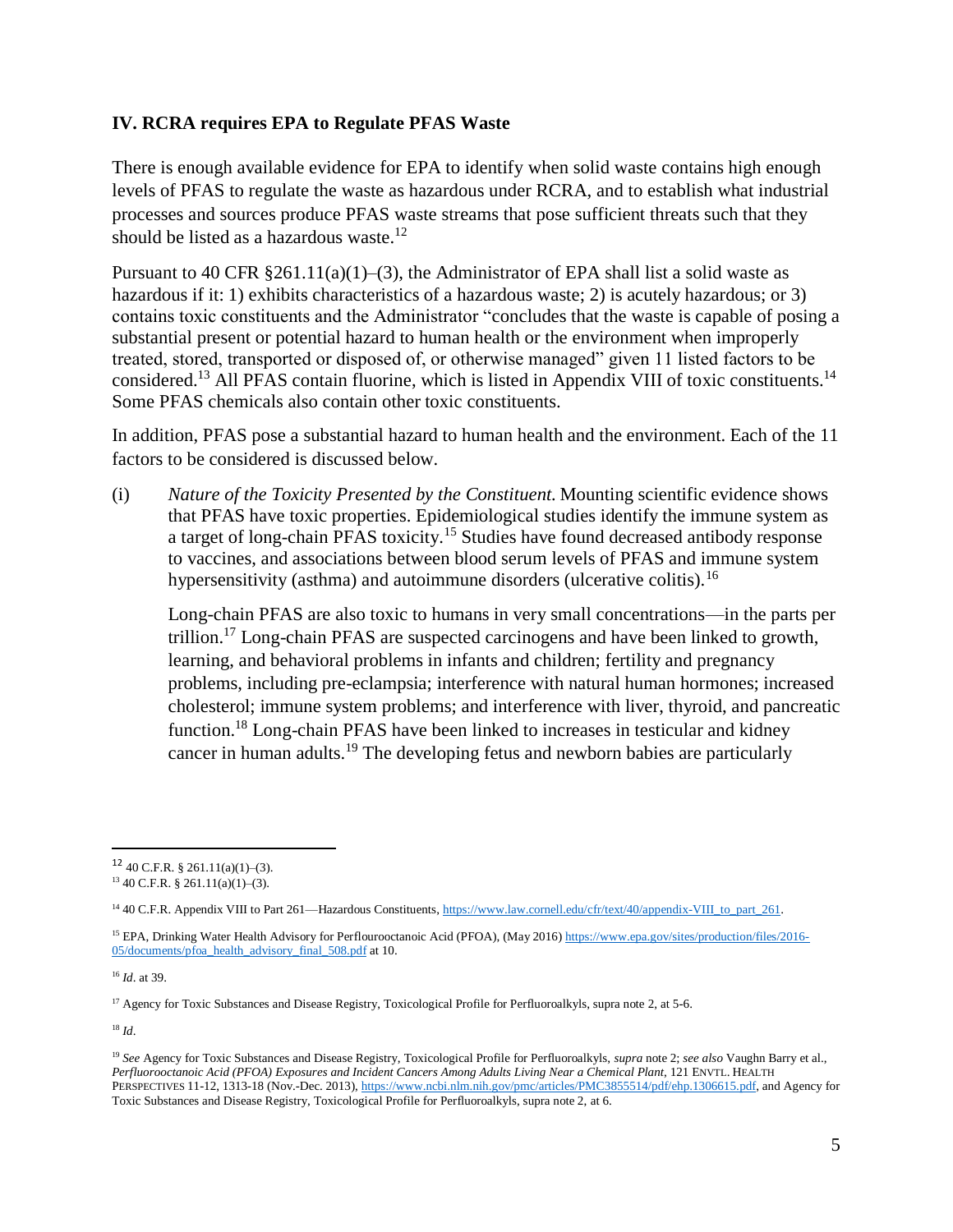#### <span id="page-4-1"></span>**IV. RCRA requires EPA to Regulate PFAS Waste**

There is enough available evidence for EPA to identify when solid waste contains high enough levels of PFAS to regulate the waste as hazardous under RCRA, and to establish what industrial processes and sources produce PFAS waste streams that pose sufficient threats such that they should be listed as a hazardous waste.<sup>12</sup>

Pursuant to 40 CFR  $\S 261.11(a)(1)–(3)$ , the Administrator of EPA shall list a solid waste as hazardous if it: 1) exhibits characteristics of a hazardous waste; 2) is acutely hazardous; or 3) contains toxic constituents and the Administrator "concludes that the waste is capable of posing a substantial present or potential hazard to human health or the environment when improperly treated, stored, transported or disposed of, or otherwise managed" given 11 listed factors to be considered.<sup>13</sup> All PFAS contain fluorine, which is listed in Appendix VIII of toxic constituents.<sup>14</sup> Some PFAS chemicals also contain other toxic constituents.

In addition, PFAS pose a substantial hazard to human health and the environment. Each of the 11 factors to be considered is discussed below.

(i) *Nature of the Toxicity Presented by the Constituent.* Mounting scientific evidence shows that PFAS have toxic properties. Epidemiological studies identify the immune system as a target of long-chain PFAS toxicity.<sup>15</sup> Studies have found decreased antibody response to vaccines, and associations between blood serum levels of PFAS and immune system hypersensitivity (asthma) and autoimmune disorders (ulcerative colitis).  $^{16}$ 

<span id="page-4-0"></span>Long-chain PFAS are also toxic to humans in very small concentrations—in the parts per trillion.<sup>17</sup> Long-chain PFAS are suspected carcinogens and have been linked to growth, learning, and behavioral problems in infants and children; fertility and pregnancy problems, including pre-eclampsia; interference with natural human hormones; increased cholesterol; immune system problems; and interference with liver, thyroid, and pancreatic function.<sup>18</sup> Long-chain PFAS have been linked to increases in testicular and kidney cancer in human adults.<sup>19</sup> The developing fetus and newborn babies are particularly

<sup>16</sup> *Id*. at 39.

 $17$  Agency for Toxic Substances and Disease Registry, Toxicological Profile for Perfluoroalkyls, supra note [2,](#page-1-0) at 5-6.

<sup>18</sup> *Id*.

 $12$  40 C.F.R. § 261.11(a)(1)–(3).

 $13\,40$  C.F.R. § 261.11(a)(1)–(3).

<sup>&</sup>lt;sup>14</sup> 40 C.F.R. Appendix VIII to Part 261—Hazardous Constituents, https://www.law.cornell.edu/cfr/text/40/appendix-VIII to part 261.

<sup>15</sup> EPA, Drinking Water Health Advisory for Perflourooctanoic Acid (PFOA), (May 2016) [https://www.epa.gov/sites/production/files/2016-](https://www.epa.gov/sites/production/files/2016-05/documents/pfoa_health_advisory_final_508.pdf) [05/documents/pfoa\\_health\\_advisory\\_final\\_508.pdf](https://www.epa.gov/sites/production/files/2016-05/documents/pfoa_health_advisory_final_508.pdf) at 10.

<sup>19</sup> *See* Agency for Toxic Substances and Disease Registry, Toxicological Profile for Perfluoroalkyls, *supra* note [2;](#page-1-0) *see also* Vaughn Barry et al., *Perfluorooctanoic Acid (PFOA) Exposures and Incident Cancers Among Adults Living Near a Chemical Plant*, 121 ENVTL. HEALTH PERSPECTIVES 11-12, 1313-18 (Nov.-Dec. 2013), [https://www.ncbi.nlm.nih.gov/pmc/articles/PMC3855514/pdf/ehp.1306615.pdf,](https://www.ncbi.nlm.nih.gov/pmc/articles/PMC3855514/pdf/ehp.1306615.pdf) and Agency for Toxic Substances and Disease Registry, Toxicological Profile for Perfluoroalkyls, supra note 2, at 6.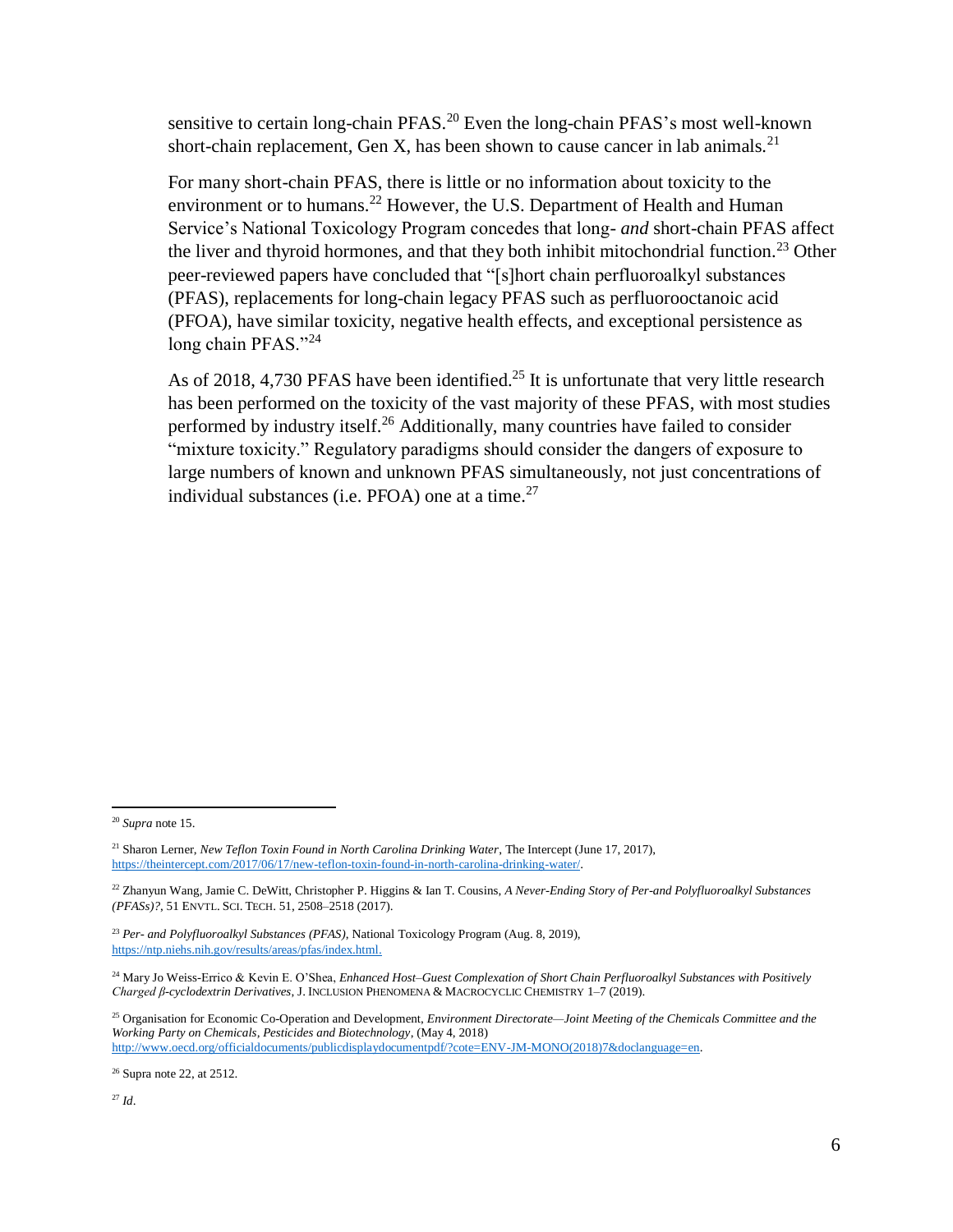sensitive to certain long-chain PFAS.<sup>20</sup> Even the long-chain PFAS's most well-known short-chain replacement, Gen X, has been shown to cause cancer in lab animals.<sup>21</sup>

For many short-chain PFAS, there is little or no information about toxicity to the environment or to humans.<sup>22</sup> However, the U.S. Department of Health and Human Service's National Toxicology Program concedes that long- *and* short-chain PFAS affect the liver and thyroid hormones, and that they both inhibit mitochondrial function.<sup>23</sup> Other peer-reviewed papers have concluded that "[s]hort chain perfluoroalkyl substances (PFAS), replacements for long-chain legacy PFAS such as perfluorooctanoic acid (PFOA), have similar toxicity, negative health effects, and exceptional persistence as long chain PFAS."24

As of 2018, 4,730 PFAS have been identified.<sup>25</sup> It is unfortunate that very little research has been performed on the toxicity of the vast majority of these PFAS, with most studies performed by industry itself.<sup>26</sup> Additionally, many countries have failed to consider "mixture toxicity." Regulatory paradigms should consider the dangers of exposure to large numbers of known and unknown PFAS simultaneously, not just concentrations of individual substances (i.e.  $PFOA$ ) one at a time.<sup>27</sup>

<sup>20</sup> *Supra* note [15.](#page-4-0)

<sup>21</sup> Sharon Lerner, *New Teflon Toxin Found in North Carolina Drinking Water*, The Intercept (June 17, 2017), [https://theintercept.com/2017/06/17/new-teflon-toxin-found-in-north-carolina-drinking-water/.](https://theintercept.com/2017/06/17/new-teflon-toxin-found-in-north-carolina-drinking-water/)

<sup>22</sup> Zhanyun Wang, Jamie C. DeWitt, Christopher P. Higgins & Ian T. Cousins, *A Never-Ending Story of Per-and Polyfluoroalkyl Substances (PFASs)?*, 51 ENVTL. SCI. TECH. 51, 2508–2518 (2017).

<sup>23</sup> *Per- and Polyfluoroalkyl Substances (PFAS)*, National Toxicology Program (Aug. 8, 2019), [https://ntp.niehs.nih.gov/results/areas/pfas/index.html.](https://ntp.niehs.nih.gov/results/areas/pfas/index.html)

<sup>24</sup> Mary Jo Weiss-Errico & Kevin E. O'Shea, *Enhanced Host–Guest Complexation of Short Chain Perfluoroalkyl Substances with Positively Charged β-cyclodextrin Derivatives*, J. INCLUSION PHENOMENA & MACROCYCLIC CHEMISTRY 1–7 (2019).

<sup>25</sup> Organisation for Economic Co-Operation and Development, *Environment Directorate—Joint Meeting of the Chemicals Committee and the Working Party on Chemicals, Pesticides and Biotechnology*, (May 4, 2018) [http://www.oecd.org/officialdocuments/publicdisplaydocumentpdf/?cote=ENV-JM-MONO\(2018\)7&doclanguage=en.](http://www.oecd.org/officialdocuments/publicdisplaydocumentpdf/?cote=ENV-JM-MONO(2018)7&doclanguage=en)

 $26$  Supra not[e 22,](#page-4-1) at 2512.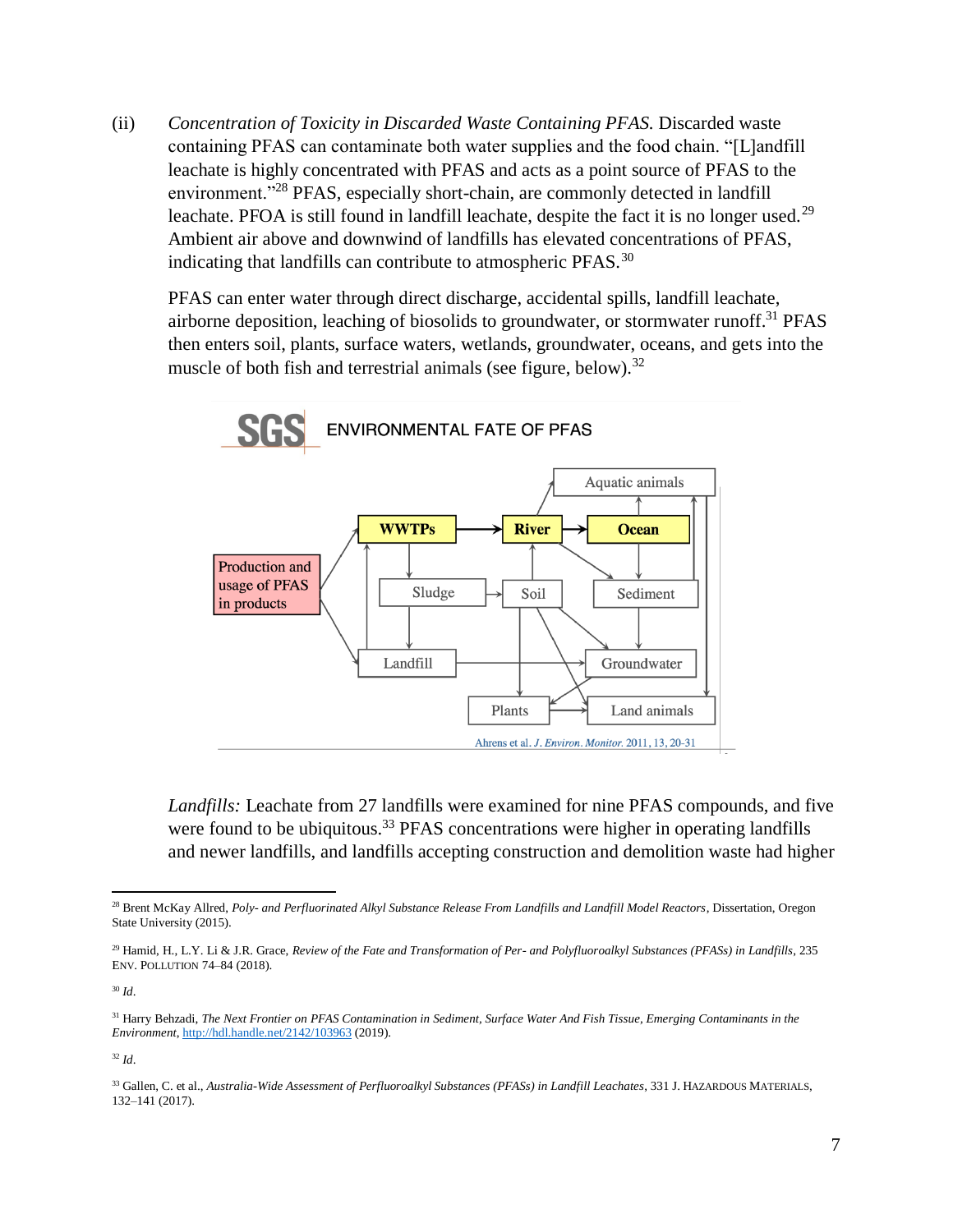(ii) *Concentration of Toxicity in Discarded Waste Containing PFAS.* Discarded waste containing PFAS can contaminate both water supplies and the food chain. "[L]andfill leachate is highly concentrated with PFAS and acts as a point source of PFAS to the environment."<sup>28</sup> PFAS, especially short-chain, are commonly detected in landfill leachate. PFOA is still found in landfill leachate, despite the fact it is no longer used.<sup>29</sup> Ambient air above and downwind of landfills has elevated concentrations of PFAS, indicating that landfills can contribute to atmospheric  $PFASTS$ <sup>30</sup>

PFAS can enter water through direct discharge, accidental spills, landfill leachate, airborne deposition, leaching of biosolids to groundwater, or stormwater runoff.<sup>31</sup> PFAS then enters soil, plants, surface waters, wetlands, groundwater, oceans, and gets into the muscle of both fish and terrestrial animals (see figure, below).<sup>32</sup>



*Landfills:* Leachate from 27 landfills were examined for nine PFAS compounds, and five were found to be ubiquitous.<sup>33</sup> PFAS concentrations were higher in operating landfills and newer landfills, and landfills accepting construction and demolition waste had higher

<sup>30</sup> *Id*.

 $\overline{a}$ 

<sup>32</sup> *Id*.

<sup>28</sup> Brent McKay Allred, *Poly- and Perfluorinated Alkyl Substance Release From Landfills and Landfill Model Reactors*, Dissertation, Oregon State University (2015).

<sup>29</sup> Hamid, H., L.Y. Li & J.R. Grace, *Review of the Fate and Transformation of Per- and Polyfluoroalkyl Substances (PFASs) in Landfills*, 235 ENV. POLLUTION 74–84 (2018).

<sup>31</sup> Harry Behzadi, *The Next Frontier on PFAS Contamination in Sediment, Surface Water And Fish Tissue, Emerging Contaminants in the Environment*[, http://hdl.handle.net/2142/103963](http://hdl.handle.net/2142/103963) (2019).

<sup>33</sup> Gallen, C. et al., *Australia-Wide Assessment of Perfluoroalkyl Substances (PFASs) in Landfill Leachates*, 331 J. HAZARDOUS MATERIALS, 132–141 (2017).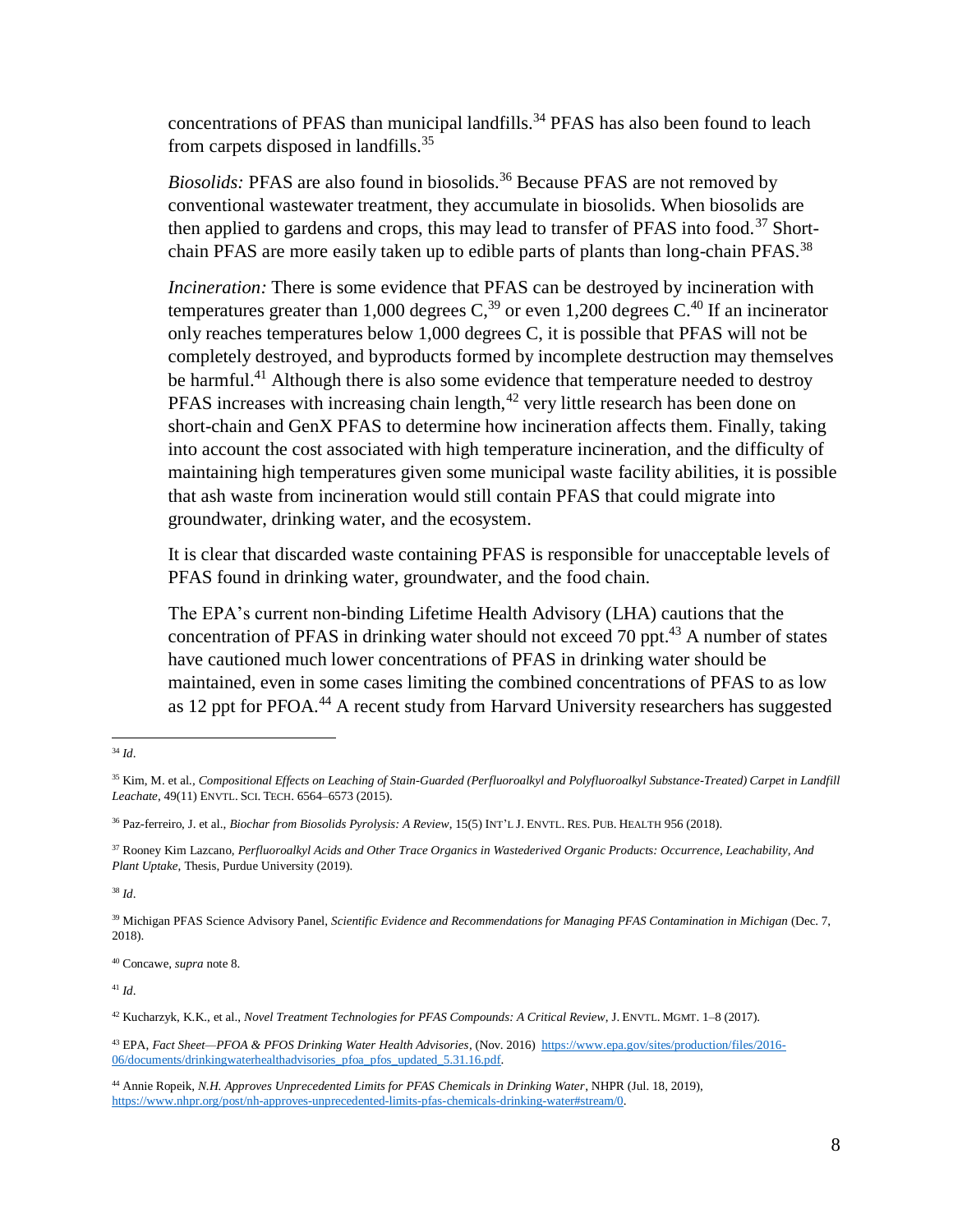<span id="page-7-0"></span>concentrations of PFAS than municipal landfills.<sup>34</sup> PFAS has also been found to leach from carpets disposed in landfills.<sup>35</sup>

*Biosolids:* PFAS are also found in biosolids.<sup>36</sup> Because PFAS are not removed by conventional wastewater treatment, they accumulate in biosolids. When biosolids are then applied to gardens and crops, this may lead to transfer of PFAS into food.<sup>37</sup> Shortchain PFAS are more easily taken up to edible parts of plants than long-chain PFAS.<sup>38</sup>

*Incineration:* There is some evidence that PFAS can be destroyed by incineration with temperatures greater than 1,000 degrees  $C<sub>1</sub><sup>39</sup>$  or even 1,200 degrees  $C<sub>1</sub><sup>40</sup>$  If an incinerator only reaches temperatures below 1,000 degrees C, it is possible that PFAS will not be completely destroyed, and byproducts formed by incomplete destruction may themselves be harmful.<sup>41</sup> Although there is also some evidence that temperature needed to destroy PFAS increases with increasing chain length, $42$  very little research has been done on short-chain and GenX PFAS to determine how incineration affects them. Finally, taking into account the cost associated with high temperature incineration, and the difficulty of maintaining high temperatures given some municipal waste facility abilities, it is possible that ash waste from incineration would still contain PFAS that could migrate into groundwater, drinking water, and the ecosystem.

It is clear that discarded waste containing PFAS is responsible for unacceptable levels of PFAS found in drinking water, groundwater, and the food chain.

The EPA's current non-binding Lifetime Health Advisory (LHA) cautions that the concentration of PFAS in drinking water should not exceed 70 ppt.<sup>43</sup> A number of states have cautioned much lower concentrations of PFAS in drinking water should be maintained, even in some cases limiting the combined concentrations of PFAS to as low as 12 ppt for PFOA.<sup>44</sup> A recent study from Harvard University researchers has suggested

<sup>38</sup> *Id*.

<sup>40</sup> Concawe, *supra* note [8.](#page-2-0)

<sup>41</sup> *Id*.

<sup>43</sup> EPA, *Fact Sheet—PFOA & PFOS Drinking Water Health Advisories*, (Nov. 2016) [https://www.epa.gov/sites/production/files/2016-](https://www.epa.gov/sites/production/files/2016-06/documents/drinkingwaterhealthadvisories_pfoa_pfos_updated_5.31.16.pdf) [06/documents/drinkingwaterhealthadvisories\\_pfoa\\_pfos\\_updated\\_5.31.16.pdf.](https://www.epa.gov/sites/production/files/2016-06/documents/drinkingwaterhealthadvisories_pfoa_pfos_updated_5.31.16.pdf)

 $\overline{a}$ <sup>34</sup> *Id*.

<sup>&</sup>lt;sup>35</sup> Kim, M. et al., Compositional Effects on Leaching of Stain-Guarded (Perfluoroalkyl and Polyfluoroalkyl Substance-Treated) Carpet in Landfill *[Leachate](https://pubs.acs.org/doi/full/10.1021/es505333y)*, 49(11) ENVTL. SCI. TECH. 6564–6573 (2015).

<sup>36</sup> Paz-ferreiro, J. et al., *Biochar from Biosolids Pyrolysis: A Review*, 15(5) INT'L J. ENVTL. RES. PUB. HEALTH 956 (2018).

<sup>37</sup> Rooney Kim Lazcano, *Perfluoroalkyl Acids and Other Trace Organics in Wastederived Organic Products: Occurrence, Leachability, And Plant Uptake*, Thesis, Purdue University (2019).

<sup>39</sup> Michigan PFAS Science Advisory Panel, *Scientific Evidence and Recommendations for Managing PFAS Contamination in Michigan* (Dec. 7, 2018).

<sup>42</sup> Kucharzyk, K.K., et al., *Novel Treatment Technologies for PFAS Compounds: A Critical Review*, J. ENVTL. MGMT. 1–8 (2017).

<sup>44</sup> Annie Ropeik, *N.H. Approves Unprecedented Limits for PFAS Chemicals in Drinking Water*, NHPR (Jul. 18, 2019), [https://www.nhpr.org/post/nh-approves-unprecedented-limits-pfas-chemicals-drinking-water#stream/0.](https://www.nhpr.org/post/nh-approves-unprecedented-limits-pfas-chemicals-drinking-water#stream/0)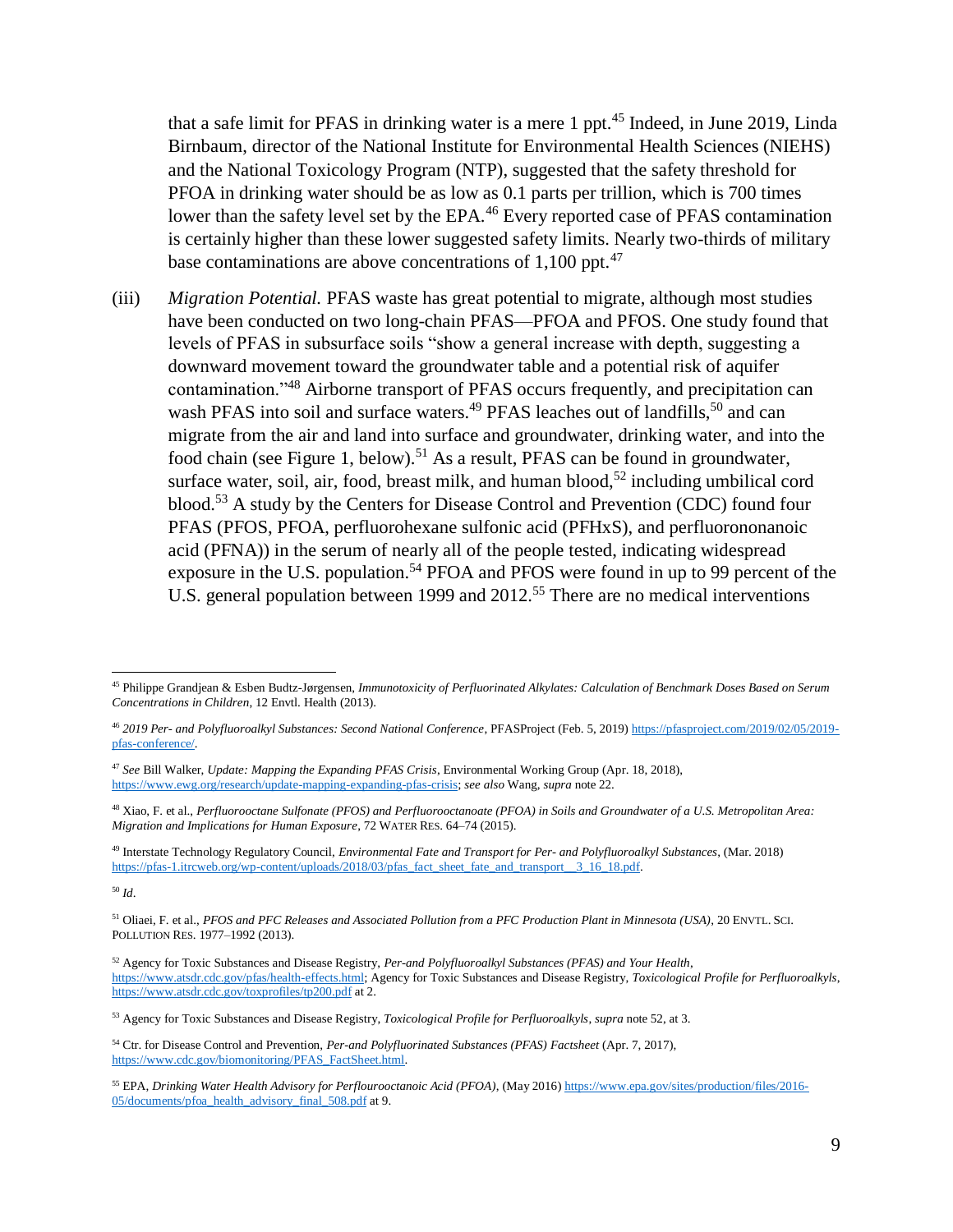<span id="page-8-2"></span>that a safe limit for PFAS in drinking water is a mere 1 ppt.<sup>45</sup> Indeed, in June 2019, Linda Birnbaum, director of the National Institute for Environmental Health Sciences (NIEHS) and the National Toxicology Program (NTP), suggested that the safety threshold for PFOA in drinking water should be as low as 0.1 parts per trillion, which is 700 times lower than the safety level set by the EPA.<sup>46</sup> Every reported case of PFAS contamination is certainly higher than these lower suggested safety limits. Nearly two-thirds of military base contaminations are above concentrations of  $1,100$  ppt.<sup>47</sup>

(iii) *Migration Potential.* PFAS waste has great potential to migrate, although most studies have been conducted on two long-chain PFAS—PFOA and PFOS. One study found that levels of PFAS in subsurface soils "show a general increase with depth, suggesting a downward movement toward the groundwater table and a potential risk of aquifer contamination."<sup>48</sup> Airborne transport of PFAS occurs frequently, and precipitation can wash PFAS into soil and surface waters.<sup>49</sup> PFAS leaches out of landfills,<sup>50</sup> and can migrate from the air and land into surface and groundwater, drinking water, and into the food chain (see Figure 1, below).<sup>51</sup> As a result, PFAS can be found in groundwater, surface water, soil, air, food, breast milk, and human blood,<sup>52</sup> including umbilical cord blood.<sup>53</sup> A study by the Centers for Disease Control and Prevention (CDC) found four PFAS (PFOS, PFOA, perfluorohexane sulfonic acid (PFHxS), and perfluorononanoic acid (PFNA)) in the serum of nearly all of the people tested, indicating widespread exposure in the U.S. population.<sup>54</sup> PFOA and PFOS were found in up to 99 percent of the U.S. general population between 1999 and 2012.<sup>55</sup> There are no medical interventions

<sup>50</sup> *Id*.

<span id="page-8-1"></span><span id="page-8-0"></span>l

<sup>45</sup> Philippe Grandjean & Esben Budtz-Jørgensen, *Immunotoxicity of Perfluorinated Alkylates: Calculation of Benchmark Doses Based on Serum Concentrations in Children*, 12 Envtl. Health (2013).

<sup>46</sup> *2019 Per- and Polyfluoroalkyl Substances: Second National Conference*, PFASProject (Feb. 5, 2019) [https://pfasproject.com/2019/02/05/2019](https://pfasproject.com/2019/02/05/2019-pfas-conference/) [pfas-conference/.](https://pfasproject.com/2019/02/05/2019-pfas-conference/)

<sup>47</sup> *See* Bill Walker, *Update: Mapping the Expanding PFAS Crisis*, Environmental Working Group (Apr. 18, 2018), [https://www.ewg.org/research/update-mapping-expanding-pfas-crisis;](https://www.ewg.org/research/update-mapping-expanding-pfas-crisis) *see also* Wang, *supra* not[e 22.](#page-4-1)

<sup>48</sup> Xiao, F. et al., *Perfluorooctane Sulfonate (PFOS) and Perfluorooctanoate (PFOA) in Soils and Groundwater of a U.S. Metropolitan Area: Migration and Implications for Human Exposure*, 72 WATER RES. 64–74 (2015).

<sup>49</sup> Interstate Technology Regulatory Council, *Environmental Fate and Transport for Per- and Polyfluoroalkyl Substances*, (Mar. 2018) [https://pfas-1.itrcweb.org/wp-content/uploads/2018/03/pfas\\_fact\\_sheet\\_fate\\_and\\_transport\\_\\_3\\_16\\_18.pdf.](https://pfas-1.itrcweb.org/wp-content/uploads/2018/03/pfas_fact_sheet_fate_and_transport__3_16_18.pdf)

<sup>51</sup> Oliaei, F. et al., *PFOS and PFC Releases and Associated Pollution from a PFC Production Plant in Minnesota (USA)*, 20 ENVTL. SCI. POLLUTION RES. 1977–1992 (2013).

<sup>52</sup> Agency for Toxic Substances and Disease Registry, *Per-and Polyfluoroalkyl Substances (PFAS) and Your Health*, [https://www.atsdr.cdc.gov/pfas/health-effects.html;](https://www.atsdr.cdc.gov/pfas/health-effects.html) Agency for Toxic Substances and Disease Registry, *Toxicological Profile for Perfluoroalkyls*, <https://www.atsdr.cdc.gov/toxprofiles/tp200.pdf> at 2.

<sup>53</sup> Agency for Toxic Substances and Disease Registry, *Toxicological Profile for Perfluoroalkyls*, *supra* not[e 52,](#page-7-0) at 3.

<sup>54</sup> Ctr. for Disease Control and Prevention, *Per-and Polyfluorinated Substances (PFAS) Factsheet* (Apr. 7, 2017), [https://www.cdc.gov/biomonitoring/PFAS\\_FactSheet.html.](https://www.cdc.gov/biomonitoring/PFAS_FactSheet.html)

<sup>55</sup> EPA, *Drinking Water Health Advisory for Perflourooctanoic Acid (PFOA)*, (May 2016) [https://www.epa.gov/sites/production/files/2016-](https://www.epa.gov/sites/production/files/2016-05/documents/pfoa_health_advisory_final_508.pdf) [05/documents/pfoa\\_health\\_advisory\\_final\\_508.pdf](https://www.epa.gov/sites/production/files/2016-05/documents/pfoa_health_advisory_final_508.pdf) at 9.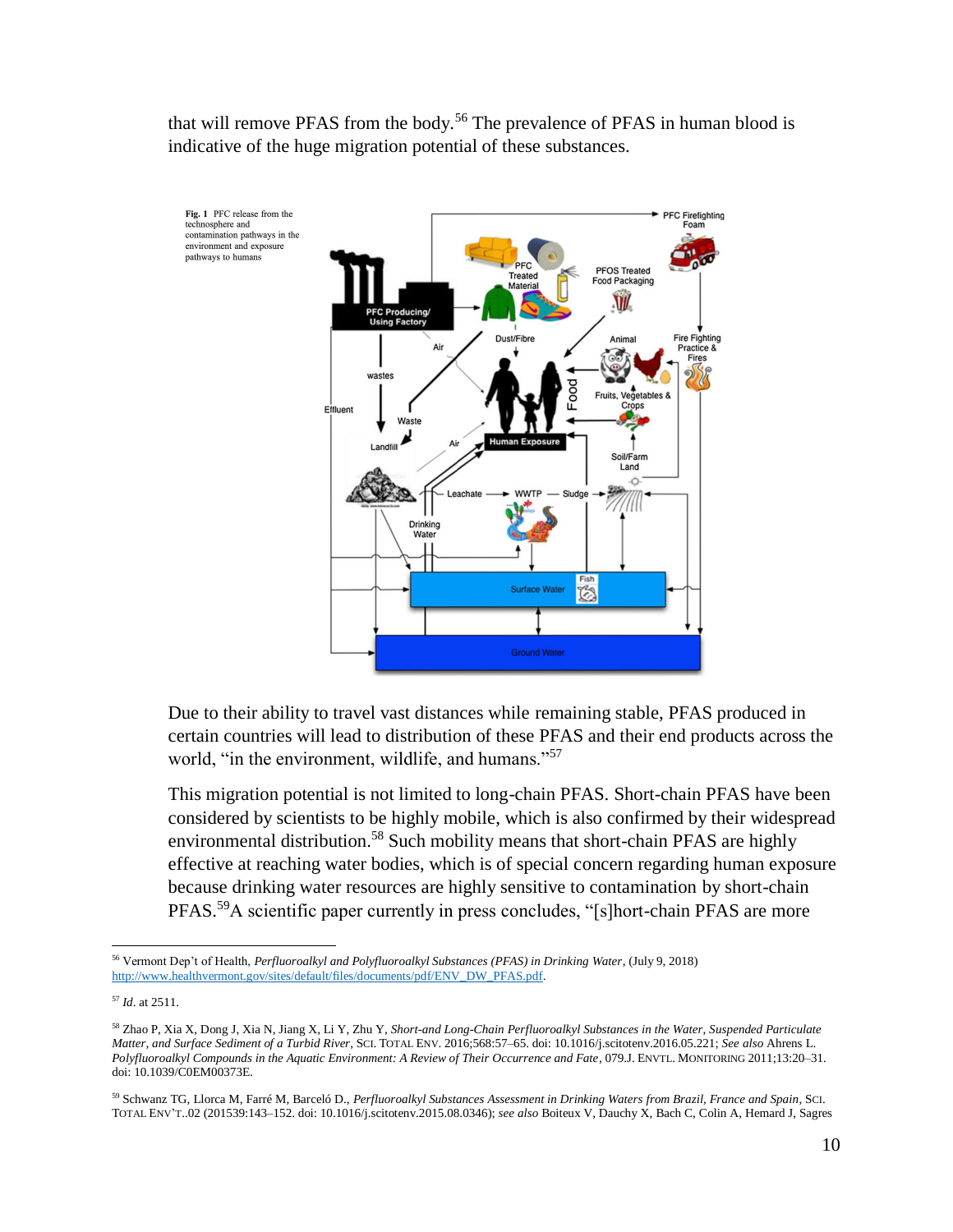<span id="page-9-1"></span>that will remove PFAS from the body.<sup>56</sup> The prevalence of PFAS in human blood is indicative of the huge migration potential of these substances.



Due to their ability to travel vast distances while remaining stable, PFAS produced in certain countries will lead to distribution of these PFAS and their end products across the world, "in the environment, wildlife, and humans."<sup>57</sup>

<span id="page-9-2"></span>This migration potential is not limited to long-chain PFAS. Short-chain PFAS have been considered by scientists to be highly mobile, which is also confirmed by their widespread environmental distribution.<sup>58</sup> Such mobility means that short-chain PFAS are highly effective at reaching water bodies, which is of special concern regarding human exposure because drinking water resources are highly sensitive to contamination by short-chain PFAS.<sup>59</sup>A scientific paper currently in press concludes, "[s]hort-chain PFAS are more

<span id="page-9-0"></span> $\overline{a}$ <sup>56</sup> Vermont Dep't of Health, *Perfluoroalkyl and Polyfluoroalkyl Substances (PFAS) in Drinking Water*, (July 9, 2018) [http://www.healthvermont.gov/sites/default/files/documents/pdf/ENV\\_DW\\_PFAS.pdf.](http://www.healthvermont.gov/sites/default/files/documents/pdf/ENV_DW_PFAS.pdf) 

<sup>57</sup> *Id*. at 2511.

<sup>58</sup> Zhao P, Xia X, Dong J, Xia N, Jiang X, Li Y, Zhu Y, *Short-and Long-Chain Perfluoroalkyl Substances in the Water, Suspended Particulate Matter, and Surface Sediment of a Turbid River*, SCI. TOTAL ENV. 2016;568:57–65. doi: 10.1016/j.scitotenv.2016.05.221; *See also* Ahrens L. *Polyfluoroalkyl Compounds in the Aquatic Environment: A Review of Their Occurrence and Fate*, 079.J. ENVTL. MONITORING 2011;13:20–31. doi: 10.1039/C0EM00373E.

<sup>59</sup> Schwanz TG, Llorca M, Farré M, Barceló D., *Perfluoroalkyl Substances Assessment in Drinking Waters from Brazil, France and Spain*, SCI. TOTAL ENV'T..02 (201539:143–152. doi: 10.1016/j.scitotenv.2015.08.0346); *see also* Boiteux V, Dauchy X, Bach C, Colin A, Hemard J, Sagres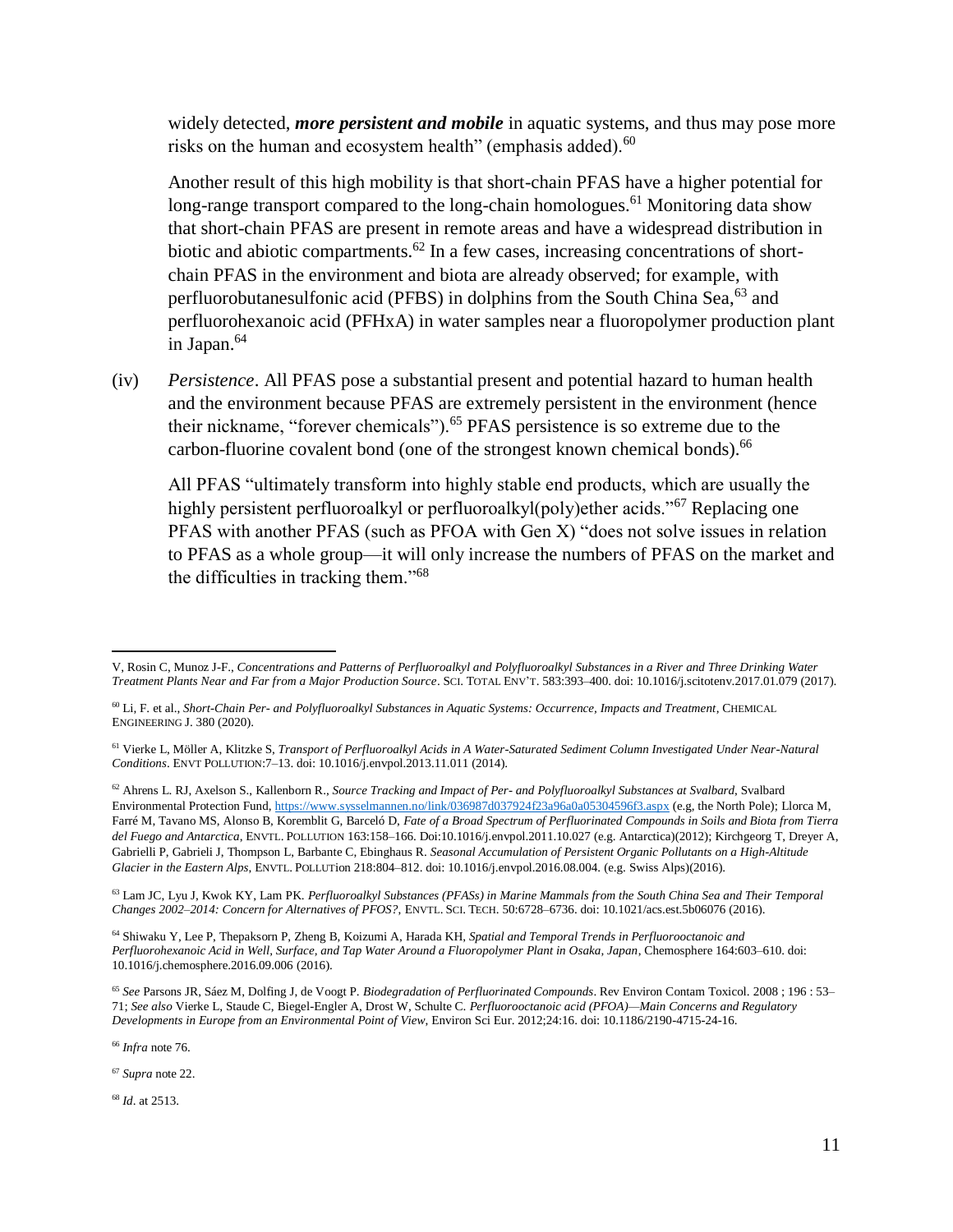widely detected, *more persistent and mobile* in aquatic systems, and thus may pose more risks on the human and ecosystem health" (emphasis added).<sup>60</sup>

Another result of this high mobility is that short-chain PFAS have a higher potential for long-range transport compared to the long-chain homologues.<sup>61</sup> Monitoring data show that short-chain PFAS are present in remote areas and have a widespread distribution in biotic and abiotic compartments.<sup>62</sup> In a few cases, increasing concentrations of shortchain PFAS in the environment and biota are already observed; for example, with perfluorobutanesulfonic acid (PFBS) in dolphins from the South China Sea,<sup>63</sup> and perfluorohexanoic acid (PFHxA) in water samples near a fluoropolymer production plant in Japan.<sup>64</sup>

(iv) *Persistence*. All PFAS pose a substantial present and potential hazard to human health and the environment because PFAS are extremely persistent in the environment (hence their nickname, "forever chemicals").<sup>65</sup> PFAS persistence is so extreme due to the carbon-fluorine covalent bond (one of the strongest known chemical bonds).<sup>66</sup>

All PFAS "ultimately transform into highly stable end products, which are usually the highly persistent perfluoroalkyl or perfluoroalkyl(poly)ether acids."<sup>67</sup> Replacing one PFAS with another PFAS (such as PFOA with Gen X) "does not solve issues in relation to PFAS as a whole group—it will only increase the numbers of PFAS on the market and the difficulties in tracking them."<sup>68</sup>

<sup>63</sup> Lam JC, Lyu J, Kwok KY, Lam PK. *Perfluoroalkyl Substances (PFASs) in Marine Mammals from the South China Sea and Their Temporal Changes 2002–2014: Concern for Alternatives of PFOS?*, ENVTL. SCI. TECH. 50:6728–6736. doi: 10.1021/acs.est.5b06076 (2016).

<sup>64</sup> Shiwaku Y, Lee P, Thepaksorn P, Zheng B, Koizumi A, Harada KH, *Spatial and Temporal Trends in Perfluorooctanoic and Perfluorohexanoic Acid in Well, Surface, and Tap Water Around a Fluoropolymer Plant in Osaka, Japan*, Chemosphere 164:603–610. doi: 10.1016/j.chemosphere.2016.09.006 (2016).

<sup>66</sup> *Infra* note [76.](#page-11-0)

l

<sup>67</sup> *Supra* note [22.](#page-4-1)

<sup>68</sup> *Id*. at 2513.

V, Rosin C, Munoz J-F., *Concentrations and Patterns of Perfluoroalkyl and Polyfluoroalkyl Substances in a River and Three Drinking Water Treatment Plants Near and Far from a Major Production Source*. SCI. TOTAL ENV'T. 583:393–400. doi: 10.1016/j.scitotenv.2017.01.079 (2017).

<sup>60</sup> Li, F. et al., *Short-Chain Per- and Polyfluoroalkyl Substances in Aquatic Systems: Occurrence, Impacts and Treatment*, CHEMICAL ENGINEERING J. 380 (2020).

<sup>61</sup> Vierke L, Möller A, Klitzke S, *Transport of Perfluoroalkyl Acids in A Water-Saturated Sediment Column Investigated Under Near-Natural Conditions*. ENVT POLLUTION:7–13. doi: 10.1016/j.envpol.2013.11.011 (2014).

<sup>62</sup> Ahrens L. RJ, Axelson S., Kallenborn R., *Source Tracking and Impact of Per- and Polyfluoroalkyl Substances at Svalbard*, Svalbard Environmental Protection Fund, [https://www.sysselmannen.no/link/036987d037924f23a96a0a05304596f3.aspx](file:///C:/Users/enugent/Downloads/Tracking) (e.g, the North Pole); Llorca M, Farré M, Tavano MS, Alonso B, Koremblit G, Barceló D, *Fate of a Broad Spectrum of Perfluorinated Compounds in Soils and Biota from Tierra del Fuego and Antarctica*, ENVTL. POLLUTION 163:158–166. Doi:10.1016/j.envpol.2011.10.027 (e.g. Antarctica)(2012); Kirchgeorg T, Dreyer A, Gabrielli P, Gabrieli J, Thompson L, Barbante C, Ebinghaus R. *Seasonal Accumulation of Persistent Organic Pollutants on a High-Altitude Glacier in the Eastern Alps*, ENVTL. POLLUTion 218:804–812. doi: 10.1016/j.envpol.2016.08.004. (e.g. Swiss Alps)(2016).

<sup>65</sup> *See* Parsons JR, Sáez M, Dolfing J, de Voogt P. *Biodegradation of Perfluorinated Compounds*. Rev Environ Contam Toxicol. 2008 ; 196 : 53– 71; *See also* Vierke L, Staude C, Biegel-Engler A, Drost W, Schulte C. *Perfluorooctanoic acid (PFOA)—Main Concerns and Regulatory Developments in Europe from an Environmental Point of View*, Environ Sci Eur. 2012;24:16. doi: 10.1186/2190-4715-24-16.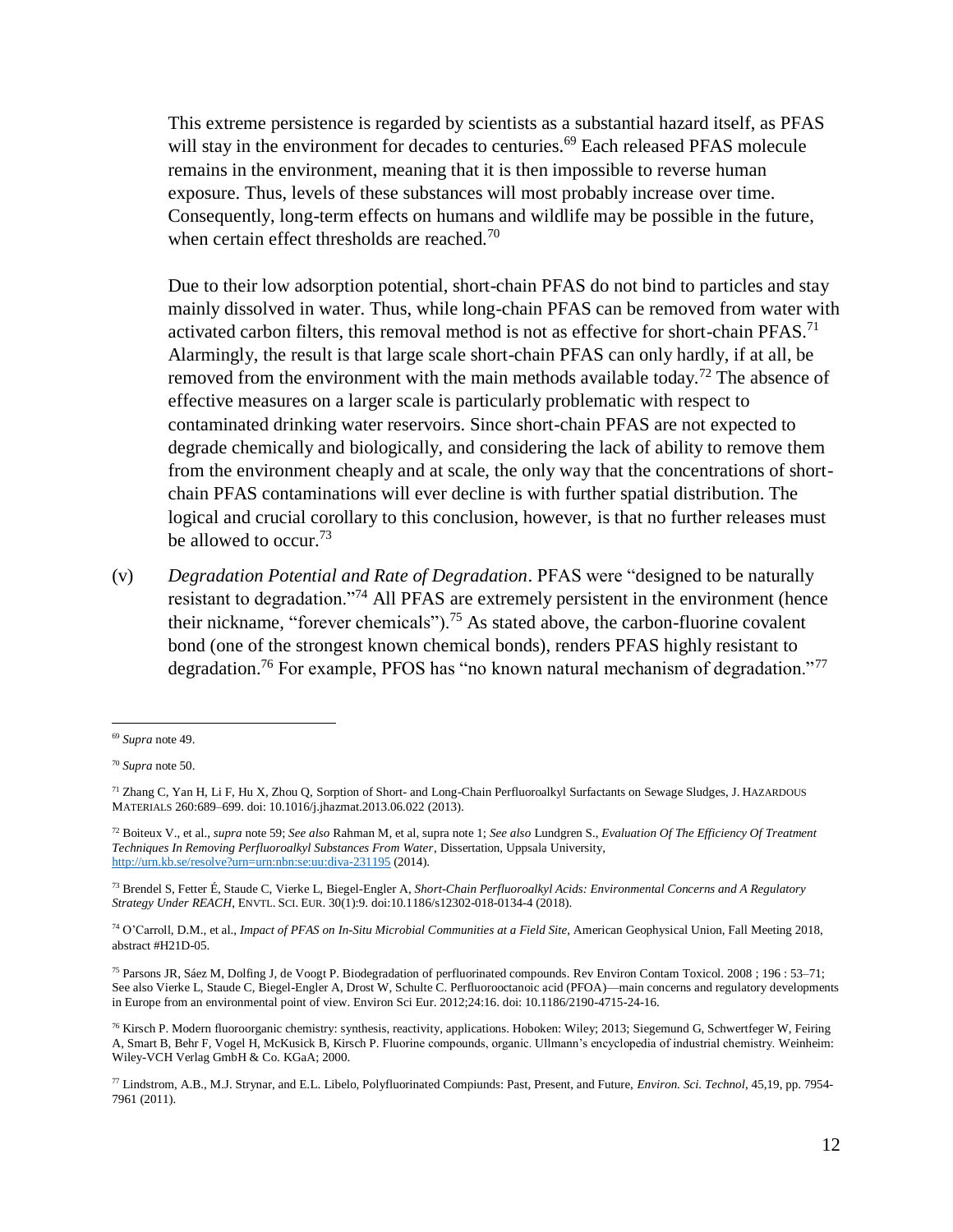<span id="page-11-1"></span>This extreme persistence is regarded by scientists as a substantial hazard itself, as PFAS will stay in the environment for decades to centuries.<sup>69</sup> Each released PFAS molecule remains in the environment, meaning that it is then impossible to reverse human exposure. Thus, levels of these substances will most probably increase over time. Consequently, long-term effects on humans and wildlife may be possible in the future, when certain effect thresholds are reached.<sup>70</sup>

Due to their low adsorption potential, short-chain PFAS do not bind to particles and stay mainly dissolved in water. Thus, while long-chain PFAS can be removed from water with activated carbon filters, this removal method is not as effective for short-chain  $PFAST^1$ Alarmingly, the result is that large scale short-chain PFAS can only hardly, if at all, be removed from the environment with the main methods available today.<sup>72</sup> The absence of effective measures on a larger scale is particularly problematic with respect to contaminated drinking water reservoirs. Since short-chain PFAS are not expected to degrade chemically and biologically, and considering the lack of ability to remove them from the environment cheaply and at scale, the only way that the concentrations of shortchain PFAS contaminations will ever decline is with further spatial distribution. The logical and crucial corollary to this conclusion, however, is that no further releases must be allowed to occur.<sup>73</sup>

(v) *Degradation Potential and Rate of Degradation*. PFAS were "designed to be naturally resistant to degradation."<sup>74</sup> All PFAS are extremely persistent in the environment (hence their nickname, "forever chemicals").<sup>75</sup> As stated above, the carbon-fluorine covalent bond (one of the strongest known chemical bonds), renders PFAS highly resistant to degradation.<sup>76</sup> For example, PFOS has "no known natural mechanism of degradation."<sup>77</sup>

<span id="page-11-0"></span><sup>69</sup> *Supra* note 49.

<sup>70</sup> *Supra* note 50.

<sup>71</sup> Zhang C, Yan H, Li F, Hu X, Zhou Q, Sorption of Short- and Long-Chain Perfluoroalkyl Surfactants on Sewage Sludges, J. HAZARDOUS MATERIALS 260:689–699. doi: 10.1016/j.jhazmat.2013.06.022 (2013).

<sup>72</sup> Boiteux V., et al., *supra* not[e 59;](#page-9-0) *See also* Rahman M, et al, supra note 1; *See also* Lundgren S., *Evaluation Of The Efficiency Of Treatment Techniques In Removing Perfluoroalkyl Substances From Water*, Dissertation, Uppsala University, [http://urn.kb.se/resolve?urn=urn:nbn:se:uu:diva-231195](http://urn.kb.se/resolve%3furn%3durn:nbn:se:uu:diva-231195) (2014).

<sup>73</sup> Brendel S, Fetter É, Staude C, Vierke L, Biegel-Engler A, *Short-Chain Perfluoroalkyl Acids: Environmental Concerns and A Regulatory Strategy Under REACH*, ENVTL. SCI. EUR. 30(1):9. doi:10.1186/s12302-018-0134-4 (2018).

<sup>74</sup> O'Carroll, D.M., et al., *Impact of PFAS on In-Situ Microbial Communities at a Field Site*, American Geophysical Union, Fall Meeting 2018, abstract #H21D-05.

<sup>75</sup> Parsons JR, Sáez M, Dolfing J, de Voogt P. Biodegradation of perfluorinated compounds. Rev Environ Contam Toxicol. 2008 ; 196 : 53–71; See also Vierke L, Staude C, Biegel-Engler A, Drost W, Schulte C. Perfluorooctanoic acid (PFOA)—main concerns and regulatory developments in Europe from an environmental point of view. Environ Sci Eur. 2012;24:16. doi: 10.1186/2190-4715-24-16.

<sup>&</sup>lt;sup>76</sup> Kirsch P. Modern fluoroorganic chemistry: synthesis, reactivity, applications. Hoboken: Wiley; 2013; Siegemund G, Schwertfeger W, Feiring A, Smart B, Behr F, Vogel H, McKusick B, Kirsch P. Fluorine compounds, organic. Ullmann's encyclopedia of industrial chemistry. Weinheim: Wiley-VCH Verlag GmbH & Co. KGaA; 2000.

<sup>77</sup> Lindstrom, A.B., M.J. Strynar, and E.L. Libelo, Polyfluorinated Compiunds: Past, Present, and Future, *Environ. Sci. Technol*, 45,19, pp. 7954- 7961 (2011).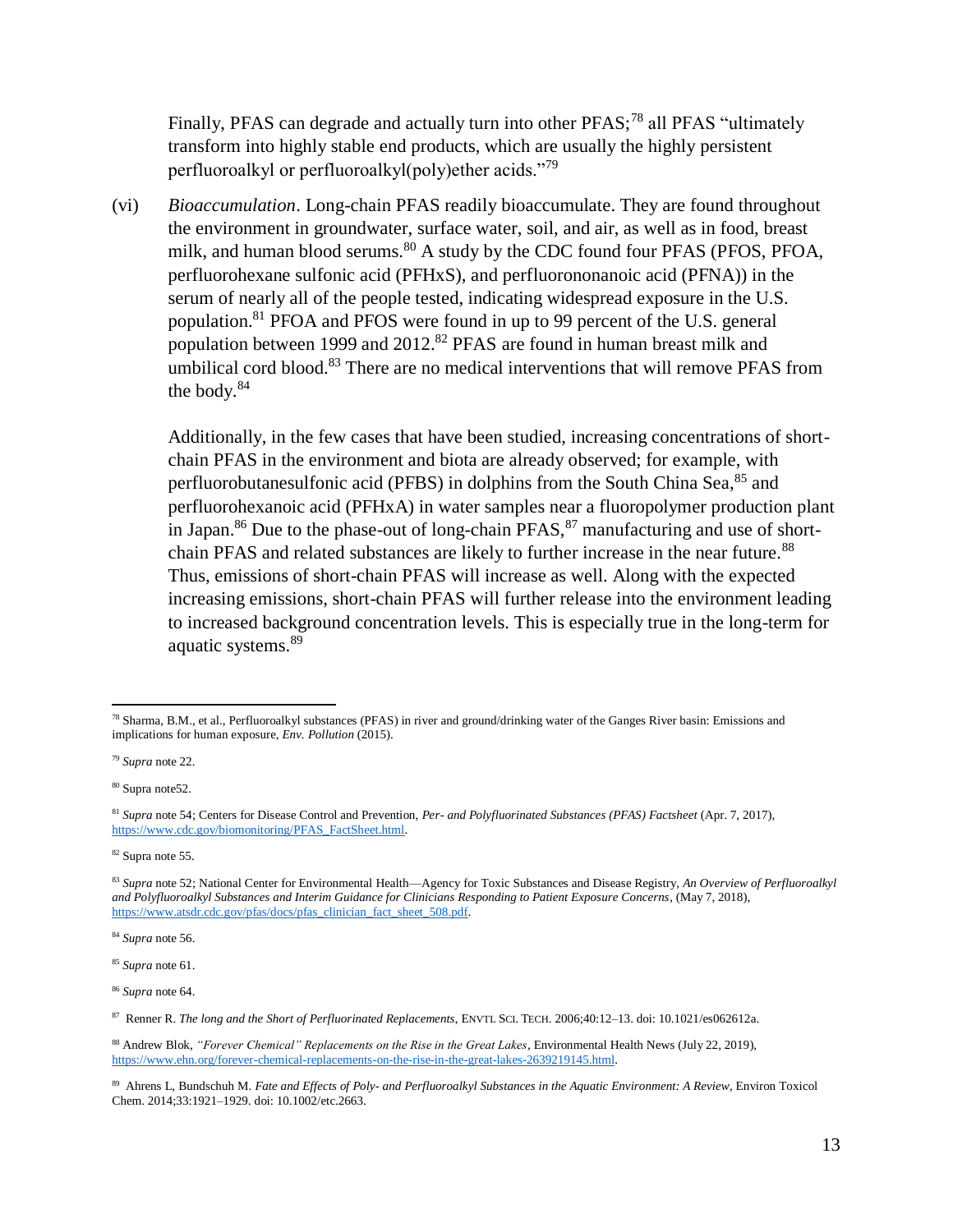Finally, PFAS can degrade and actually turn into other PFAS;<sup>78</sup> all PFAS "ultimately" transform into highly stable end products, which are usually the highly persistent perfluoroalkyl or perfluoroalkyl(poly)ether acids."<sup>79</sup>

(vi) *Bioaccumulation*. Long-chain PFAS readily bioaccumulate. They are found throughout the environment in groundwater, surface water, soil, and air, as well as in food, breast milk, and human blood serums.<sup>80</sup> A study by the CDC found four PFAS (PFOS, PFOA, perfluorohexane sulfonic acid (PFHxS), and perfluorononanoic acid (PFNA)) in the serum of nearly all of the people tested, indicating widespread exposure in the U.S. population.<sup>81</sup> PFOA and PFOS were found in up to 99 percent of the U.S. general population between 1999 and 2012.<sup>82</sup> PFAS are found in human breast milk and umbilical cord blood. $83$  There are no medical interventions that will remove PFAS from the body. $84$ 

Additionally, in the few cases that have been studied, increasing concentrations of shortchain PFAS in the environment and biota are already observed; for example, with perfluorobutanesulfonic acid (PFBS) in dolphins from the South China Sea,<sup>85</sup> and perfluorohexanoic acid (PFHxA) in water samples near a fluoropolymer production plant in Japan.<sup>86</sup> Due to the phase-out of long-chain  $PFAST$ , manufacturing and use of shortchain PFAS and related substances are likely to further increase in the near future.<sup>88</sup> Thus, emissions of short-chain PFAS will increase as well. Along with the expected increasing emissions, short-chain PFAS will further release into the environment leading to increased background concentration levels. This is especially true in the long-term for aquatic systems.<sup>89</sup>

<sup>84</sup> *Supra* note [56.](#page-8-2)

<sup>86</sup> *Supra* note [64.](#page-9-1)

l <sup>78</sup> Sharma, B.M., et al., Perfluoroalkyl substances (PFAS) in river and ground/drinking water of the Ganges River basin: Emissions and implications for human exposure, *Env. Pollution* (2015).

<sup>79</sup> *Supra* note [22.](#page-4-1)

<sup>80</sup> Supra not[e52.](#page-7-0)

<sup>81</sup> *Supra* note [54;](#page-8-0) Centers for Disease Control and Prevention, *Per- and Polyfluorinated Substances (PFAS) Factsheet* (Apr. 7, 2017), [https://www.cdc.gov/biomonitoring/PFAS\\_FactSheet.html.](https://www.cdc.gov/biomonitoring/PFAS_FactSheet.html)

<sup>82</sup> Supra not[e 55.](#page-8-1)

<sup>83</sup> *Supra* note [52;](#page-7-0) National Center for Environmental Health—Agency for Toxic Substances and Disease Registry, *An Overview of Perfluoroalkyl and Polyfluoroalkyl Substances and Interim Guidance for Clinicians Responding to Patient Exposure Concerns*, (May 7, 2018), [https://www.atsdr.cdc.gov/pfas/docs/pfas\\_clinician\\_fact\\_sheet\\_508.pdf.](https://www.atsdr.cdc.gov/pfas/docs/pfas_clinician_fact_sheet_508.pdf) 

<sup>85</sup> *Supra* note [61.](#page-9-1)

<sup>87</sup> Renner R. *The long and the Short of Perfluorinated Replacements*, ENVTL SCI. TECH. 2006;40:12–13. doi: 10.1021/es062612a.

<sup>88</sup> Andrew Blok, *"Forever Chemical" Replacements on the Rise in the Great Lakes*, Environmental Health News (July 22, 2019), [https://www.ehn.org/forever-chemical-replacements-on-the-rise-in-the-great-lakes-2639219145.html.](https://www.ehn.org/forever-chemical-replacements-on-the-rise-in-the-great-lakes-2639219145.html)

<sup>89</sup> Ahrens L, Bundschuh M. *Fate and Effects of Poly- and Perfluoroalkyl Substances in the Aquatic Environment: A Review*, Environ Toxicol Chem. 2014;33:1921–1929. doi: 10.1002/etc.2663.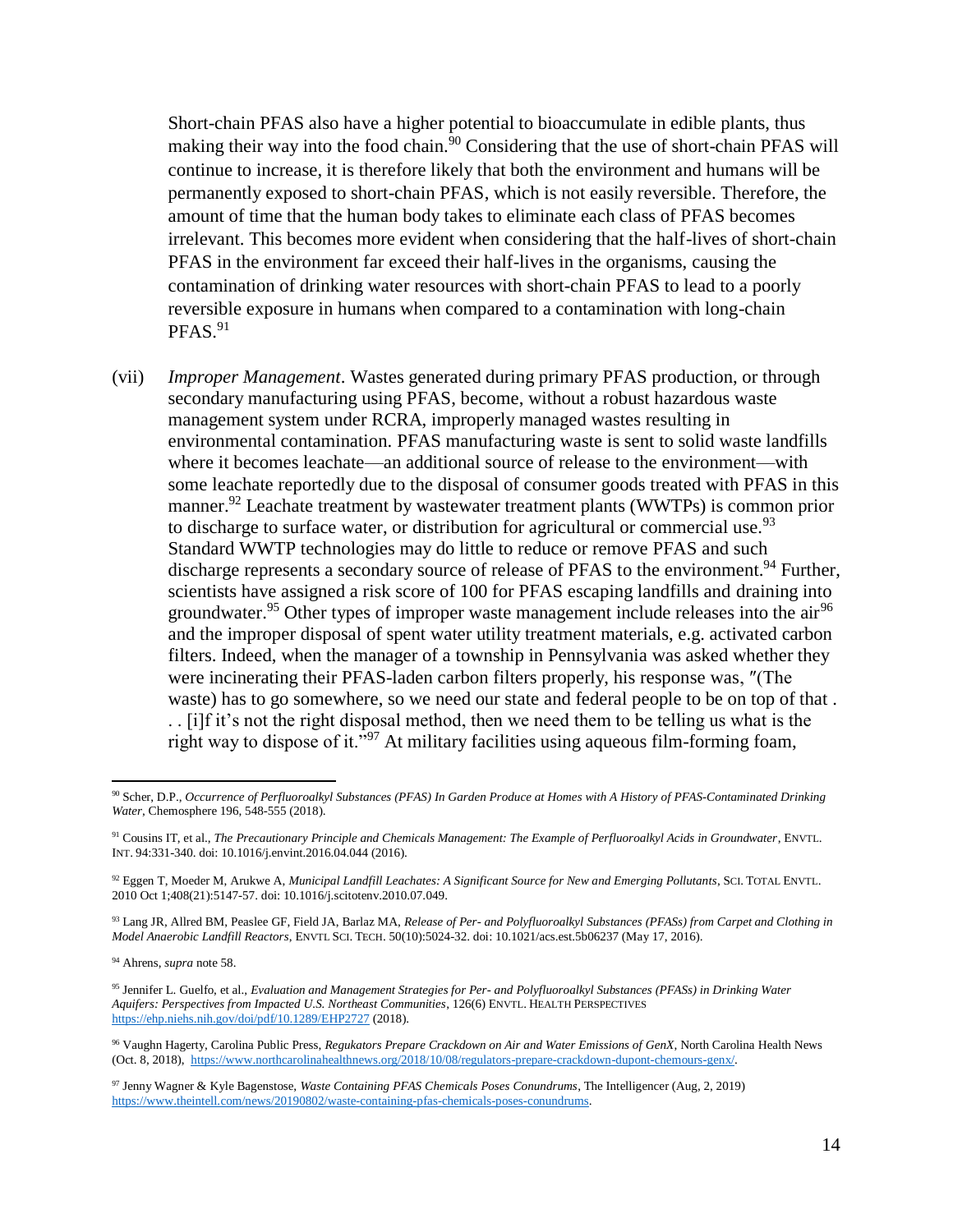<span id="page-13-0"></span>Short-chain PFAS also have a higher potential to bioaccumulate in edible plants, thus making their way into the food chain.<sup>90</sup> Considering that the use of short-chain PFAS will continue to increase, it is therefore likely that both the environment and humans will be permanently exposed to short-chain PFAS, which is not easily reversible. Therefore, the amount of time that the human body takes to eliminate each class of PFAS becomes irrelevant. This becomes more evident when considering that the half-lives of short-chain PFAS in the environment far exceed their half-lives in the organisms, causing the contamination of drinking water resources with short-chain PFAS to lead to a poorly reversible exposure in humans when compared to a contamination with long-chain  $PFAST<sub>1</sub>$ 

(vii) *Improper Management*. Wastes generated during primary PFAS production, or through secondary manufacturing using PFAS, become, without a robust hazardous waste management system under RCRA, improperly managed wastes resulting in environmental contamination. PFAS manufacturing waste is sent to solid waste landfills where it becomes leachate—an additional source of release to the environment—with some leachate reportedly due to the disposal of consumer goods treated with PFAS in this manner.<sup>92</sup> Leachate treatment by wastewater treatment plants (WWTPs) is common prior to discharge to surface water, or distribution for agricultural or commercial use.<sup>93</sup> Standard WWTP technologies may do little to reduce or remove PFAS and such discharge represents a secondary source of release of PFAS to the environment.<sup>94</sup> Further, scientists have assigned a risk score of 100 for PFAS escaping landfills and draining into groundwater.<sup>95</sup> Other types of improper waste management include releases into the air<sup>96</sup> and the improper disposal of spent water utility treatment materials, e.g. activated carbon filters. Indeed, when the manager of a township in Pennsylvania was asked whether they were incinerating their PFAS-laden carbon filters properly, his response was, ″(The waste) has to go somewhere, so we need our state and federal people to be on top of that . . . [i]f it's not the right disposal method, then we need them to be telling us what is the right way to dispose of it."<sup>97</sup> At military facilities using aqueous film-forming foam,

<sup>93</sup> Lang JR, Allred BM, Peaslee GF, Field JA, Barlaz MA, *Release of Per- and Polyfluoroalkyl Substances (PFASs) from Carpet and Clothing in Model Anaerobic Landfill Reactors*, ENVTL SCI. TECH. 50(10):5024-32. doi: 10.1021/acs.est.5b06237 (May 17, 2016).

<sup>94</sup> Ahrens, *supra* note [58.](#page-9-2)

<sup>90</sup> Scher, D.P., *Occurrence of Perfluoroalkyl Substances (PFAS) In Garden Produce at Homes with A History of PFAS-Contaminated Drinking Water*, Chemosphere 196, 548-555 (2018).

<sup>91</sup> Cousins IT, et al., *The Precautionary Principle and Chemicals Management: The Example of Perfluoroalkyl Acids in Groundwater*, ENVTL. INT. 94:331-340. doi: 10.1016/j.envint.2016.04.044 (2016).

<sup>92</sup> Eggen T, Moeder M, Arukwe A, *Municipal Landfill Leachates: A Significant Source for New and Emerging Pollutants*, SCI. TOTAL ENVTL. 2010 Oct 1;408(21):5147-57. doi: 10.1016/j.scitotenv.2010.07.049.

<sup>95</sup> Jennifer L. Guelfo, et al., *Evaluation and Management Strategies for Per- and Polyfluoroalkyl Substances (PFASs) in Drinking Water Aquifers: Perspectives from Impacted U.S. Northeast Communities*, 126(6) ENVTL. HEALTH PERSPECTIVES <https://ehp.niehs.nih.gov/doi/pdf/10.1289/EHP2727> (2018).

<sup>96</sup> Vaughn Hagerty, Carolina Public Press, *Regukators Prepare Crackdown on Air and Water Emissions of GenX*, North Carolina Health News (Oct. 8, 2018), [https://www.northcarolinahealthnews.org/2018/10/08/regulators-prepare-crackdown-dupont-chemours-genx/.](https://www.northcarolinahealthnews.org/2018/10/08/regulators-prepare-crackdown-dupont-chemours-genx/)

<sup>97</sup> Jenny Wagner & Kyle Bagenstose, *Waste Containing PFAS Chemicals Poses Conundrums*, The Intelligencer (Aug, 2, 2019) [https://www.theintell.com/news/20190802/waste-containing-pfas-chemicals-poses-conundrums.](https://www.theintell.com/news/20190802/waste-containing-pfas-chemicals-poses-conundrums)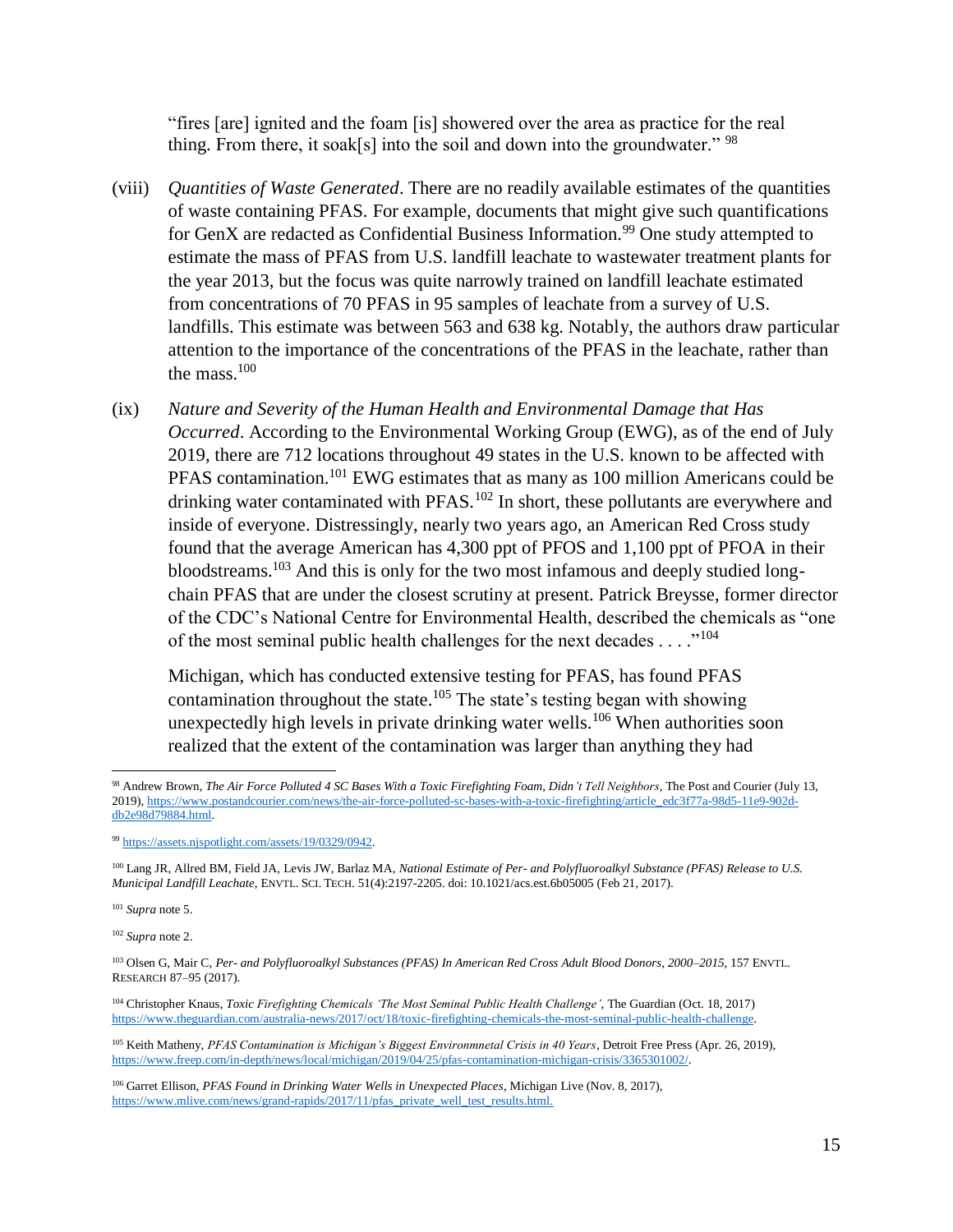"fires [are] ignited and the foam [is] showered over the area as practice for the real thing. From there, it soak[s] into the soil and down into the groundwater."  $98$ 

- (viii) *Quantities of Waste Generated*. There are no readily available estimates of the quantities of waste containing PFAS. For example, documents that might give such quantifications for GenX are redacted as Confidential Business Information.<sup>99</sup> One study attempted to estimate the mass of PFAS from U.S. landfill leachate to wastewater treatment plants for the year 2013, but the focus was quite narrowly trained on landfill leachate estimated from concentrations of 70 PFAS in 95 samples of leachate from a survey of U.S. landfills. This estimate was between 563 and 638 kg. Notably, the authors draw particular attention to the importance of the concentrations of the PFAS in the leachate, rather than the mass  $100$
- (ix) *Nature and Severity of the Human Health and Environmental Damage that Has Occurred*. According to the Environmental Working Group (EWG), as of the end of July 2019, there are 712 locations throughout 49 states in the U.S. known to be affected with PFAS contamination.<sup>101</sup> EWG estimates that as many as 100 million Americans could be drinking water contaminated with PFAS.<sup>102</sup> In short, these pollutants are everywhere and inside of everyone. Distressingly, nearly two years ago, an American Red Cross study found that the average American has 4,300 ppt of PFOS and 1,100 ppt of PFOA in their bloodstreams.<sup>103</sup> And this is only for the two most infamous and deeply studied longchain PFAS that are under the closest scrutiny at present. Patrick Breysse, former director of the CDC's National Centre for Environmental Health, described the chemicals as "one of the most seminal public health challenges for the next decades . . . ."<sup>104</sup>

Michigan, which has conducted extensive testing for PFAS, has found PFAS contamination throughout the state.<sup>105</sup> The state's testing began with showing unexpectedly high levels in private drinking water wells.<sup>106</sup> When authorities soon realized that the extent of the contamination was larger than anything they had

<sup>101</sup> *Supra* note [5.](#page-2-1)

l

<sup>102</sup> *Supra* note [2.](#page-1-0)

<sup>103</sup> Olsen G, Mair C, *Per- and Polyfluoroalkyl Substances (PFAS) In American Red Cross Adult Blood Donors, 2000–2015*, 157 ENVTL. RESEARCH 87–95 (2017).

<sup>104</sup> Christopher Knaus, *Toxic Firefighting Chemicals 'The Most Seminal Public Health Challenge'*, The Guardian (Oct. 18, 2017) [https://www.theguardian.com/australia-news/2017/oct/18/toxic-firefighting-chemicals-the-most-seminal-public-health-challenge.](https://www.theguardian.com/australia-news/2017/oct/18/toxic-firefighting-chemicals-the-most-seminal-public-health-challenge)

<sup>105</sup> Keith Matheny, *PFAS Contamination is Michigan's Biggest Environmnetal Crisis in 40 Years*, Detroit Free Press (Apr. 26, 2019), [https://www.freep.com/in-depth/news/local/michigan/2019/04/25/pfas-contamination-michigan-crisis/3365301002/.](https://www.freep.com/in-depth/news/local/michigan/2019/04/25/pfas-contamination-michigan-crisis/3365301002/)

<sup>98</sup> Andrew Brown, *The Air Force Polluted 4 SC Bases With a Toxic Firefighting Foam, Didn't Tell Neighbors*, The Post and Courier (July 13, 2019)[, https://www.postandcourier.com/news/the-air-force-polluted-sc-bases-with-a-toxic-firefighting/article\\_edc3f77a-98d5-11e9-902d](https://www.postandcourier.com/news/the-air-force-polluted-sc-bases-with-a-toxic-firefighting/article_edc3f77a-98d5-11e9-902d-db2e98d79884.html)[db2e98d79884.html.](https://www.postandcourier.com/news/the-air-force-polluted-sc-bases-with-a-toxic-firefighting/article_edc3f77a-98d5-11e9-902d-db2e98d79884.html)

<sup>99</sup> [https://assets.njspotlight.com/assets/19/0329/0942.](https://assets.njspotlight.com/assets/19/0329/0942)

<sup>100</sup> Lang JR, Allred BM, Field JA, Levis JW, Barlaz MA, *National Estimate of Per- and Polyfluoroalkyl Substance (PFAS) Release to U.S. Municipal Landfill Leachate*, ENVTL. SCI. TECH. 51(4):2197-2205. doi: 10.1021/acs.est.6b05005 (Feb 21, 2017).

<sup>106</sup> Garret Ellison, *PFAS Found in Drinking Water Wells in Unexpected Places*, Michigan Live (Nov. 8, 2017), [https://www.mlive.com/news/grand-rapids/2017/11/pfas\\_private\\_well\\_test\\_results.html.](https://www.mlive.com/news/grand-rapids/2017/11/pfas_private_well_test_results.html)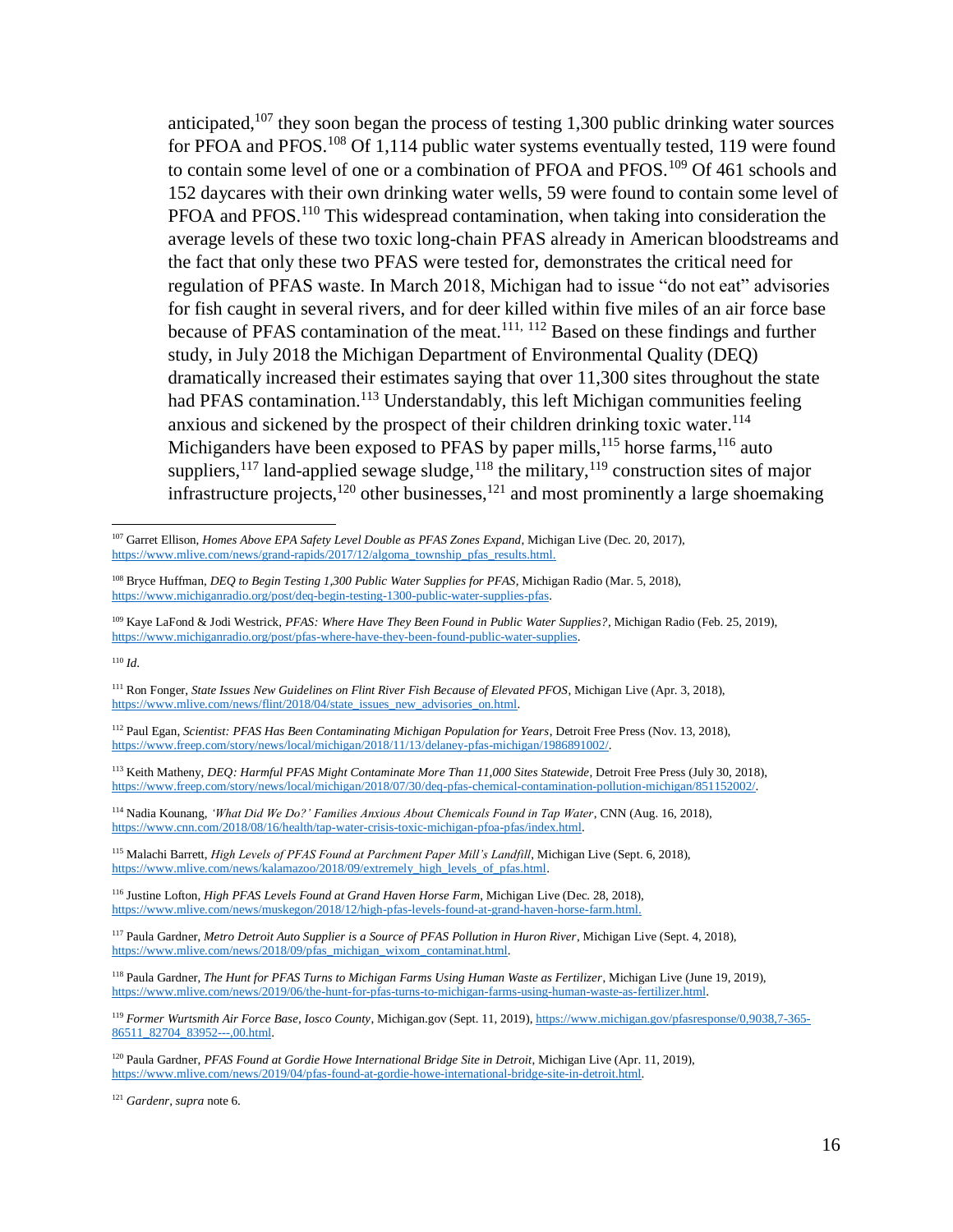anticipated, $107$  they soon began the process of testing 1,300 public drinking water sources for PFOA and PFOS.<sup>108</sup> Of 1,114 public water systems eventually tested, 119 were found to contain some level of one or a combination of PFOA and PFOS.<sup>109</sup> Of 461 schools and 152 daycares with their own drinking water wells, 59 were found to contain some level of PFOA and PFOS.<sup>110</sup> This widespread contamination, when taking into consideration the average levels of these two toxic long-chain PFAS already in American bloodstreams and the fact that only these two PFAS were tested for, demonstrates the critical need for regulation of PFAS waste. In March 2018, Michigan had to issue "do not eat" advisories for fish caught in several rivers, and for deer killed within five miles of an air force base because of PFAS contamination of the meat.<sup>111, 112</sup> Based on these findings and further study, in July 2018 the Michigan Department of Environmental Quality (DEQ) dramatically increased their estimates saying that over 11,300 sites throughout the state had PFAS contamination.<sup>113</sup> Understandably, this left Michigan communities feeling anxious and sickened by the prospect of their children drinking toxic water.<sup>114</sup> Michiganders have been exposed to PFAS by paper mills,<sup>115</sup> horse farms,<sup>116</sup> auto suppliers,<sup>117</sup> land-applied sewage sludge,<sup>118</sup> the military,<sup>119</sup> construction sites of major infrastructure projects, $120$  other businesses, $121$  and most prominently a large shoemaking

j

<sup>107</sup> Garret Ellison, *Homes Above EPA Safety Level Double as PFAS Zones Expand*, Michigan Live (Dec. 20, 2017), [https://www.mlive.com/news/grand-rapids/2017/12/algoma\\_township\\_pfas\\_results.html.](https://www.mlive.com/news/grand-rapids/2017/12/algoma_township_pfas_results.html)

<sup>108</sup> Bryce Huffman, *DEQ to Begin Testing 1,300 Public Water Supplies for PFAS*, Michigan Radio (Mar. 5, 2018), [https://www.michiganradio.org/post/deq-begin-testing-1300-public-water-supplies-pfas.](https://www.michiganradio.org/post/deq-begin-testing-1300-public-water-supplies-pfas)

<sup>109</sup> Kaye LaFond & Jodi Westrick, *PFAS: Where Have They Been Found in Public Water Supplies?*, Michigan Radio (Feb. 25, 2019), [https://www.michiganradio.org/post/pfas-where-have-they-been-found-public-water-supplies.](https://www.michiganradio.org/post/pfas-where-have-they-been-found-public-water-supplies)

<sup>110</sup> *Id*.

<sup>111</sup> Ron Fonger, *State Issues New Guidelines on Flint River Fish Because of Elevated PFOS*, Michigan Live (Apr. 3, 2018), [https://www.mlive.com/news/flint/2018/04/state\\_issues\\_new\\_advisories\\_on.html.](https://www.mlive.com/news/flint/2018/04/state_issues_new_advisories_on.html)

<sup>112</sup> Paul Egan, *Scientist: PFAS Has Been Contaminating Michigan Population for Years*, Detroit Free Press (Nov. 13, 2018), [https://www.freep.com/story/news/local/michigan/2018/11/13/delaney-pfas-michigan/1986891002/.](https://www.freep.com/story/news/local/michigan/2018/11/13/delaney-pfas-michigan/1986891002/)

<sup>113</sup> Keith Matheny, *DEQ: Harmful PFAS Might Contaminate More Than 11,000 Sites Statewide*, Detroit Free Press (July 30, 2018), [https://www.freep.com/story/news/local/michigan/2018/07/30/deq-pfas-chemical-contamination-pollution-michigan/851152002/.](https://www.freep.com/story/news/local/michigan/2018/07/30/deq-pfas-chemical-contamination-pollution-michigan/851152002/)

<sup>114</sup> Nadia Kounang, *'What Did We Do?' Families Anxious About Chemicals Found in Tap Water*, CNN (Aug. 16, 2018), [https://www.cnn.com/2018/08/16/health/tap-water-crisis-toxic-michigan-pfoa-pfas/index.html.](https://www.cnn.com/2018/08/16/health/tap-water-crisis-toxic-michigan-pfoa-pfas/index.html)

<sup>&</sup>lt;sup>115</sup> Malachi Barrett, *High Levels of PFAS Found at Parchment Paper Mill's Landfill*, Michigan Live (Sept. 6, 2018), [https://www.mlive.com/news/kalamazoo/2018/09/extremely\\_high\\_levels\\_of\\_pfas.html.](https://www.mlive.com/news/kalamazoo/2018/09/extremely_high_levels_of_pfas.html)

<sup>116</sup> Justine Lofton, *High PFAS Levels Found at Grand Haven Horse Farm*, Michigan Live (Dec. 28, 2018), [https://www.mlive.com/news/muskegon/2018/12/high-pfas-levels-found-at-grand-haven-horse-farm.html.](https://www.mlive.com/news/muskegon/2018/12/high-pfas-levels-found-at-grand-haven-horse-farm.html)

<sup>117</sup> Paula Gardner, *Metro Detroit Auto Supplier is a Source of PFAS Pollution in Huron River*, Michigan Live (Sept. 4, 2018), [https://www.mlive.com/news/2018/09/pfas\\_michigan\\_wixom\\_contaminat.html.](https://www.mlive.com/news/2018/09/pfas_michigan_wixom_contaminat.html)

<sup>118</sup> Paula Gardner, *The Hunt for PFAS Turns to Michigan Farms Using Human Waste as Fertilizer*, Michigan Live (June 19, 2019), [https://www.mlive.com/news/2019/06/the-hunt-for-pfas-turns-to-michigan-farms-using-human-waste-as-fertilizer.html.](https://www.mlive.com/news/2019/06/the-hunt-for-pfas-turns-to-michigan-farms-using-human-waste-as-fertilizer.html)

<sup>119</sup> *Former Wurtsmith Air Force Base, Iosco County*, Michigan.gov (Sept. 11, 2019), [https://www.michigan.gov/pfasresponse/0,9038,7-365-](https://www.michigan.gov/pfasresponse/0,9038,7-365-86511_82704_83952---,00.html) [86511\\_82704\\_83952---,00.html.](https://www.michigan.gov/pfasresponse/0,9038,7-365-86511_82704_83952---,00.html)

<sup>&</sup>lt;sup>120</sup> Paula Gardner, *PFAS Found at Gordie Howe International Bridge Site in Detroit*, Michigan Live (Apr. 11, 2019), [https://www.mlive.com/news/2019/04/pfas-found-at-gordie-howe-international-bridge-site-in-detroit.html.](https://www.mlive.com/news/2019/04/pfas-found-at-gordie-howe-international-bridge-site-in-detroit.html)

<sup>121</sup> *Gardenr, supra* note [6.](#page-2-2)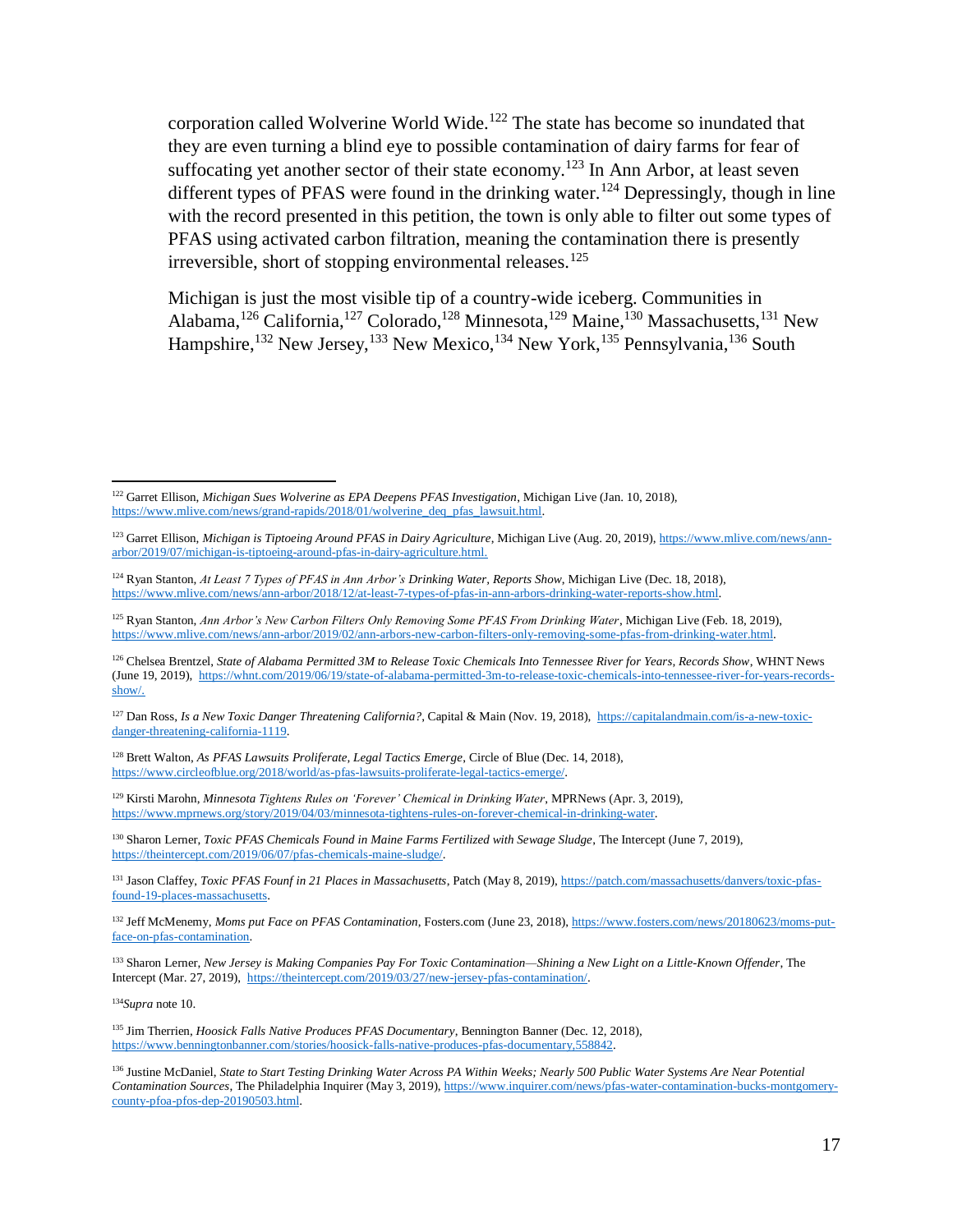corporation called Wolverine World Wide.<sup>122</sup> The state has become so inundated that they are even turning a blind eye to possible contamination of dairy farms for fear of suffocating yet another sector of their state economy.<sup>123</sup> In Ann Arbor, at least seven different types of PFAS were found in the drinking water.<sup>124</sup> Depressingly, though in line with the record presented in this petition, the town is only able to filter out some types of PFAS using activated carbon filtration, meaning the contamination there is presently irreversible, short of stopping environmental releases.<sup>125</sup>

Michigan is just the most visible tip of a country-wide iceberg. Communities in Alabama,<sup>126</sup> California,<sup>127</sup> Colorado,<sup>128</sup> Minnesota,<sup>129</sup> Maine,<sup>130</sup> Massachusetts,<sup>131</sup> New Hampshire,<sup>132</sup> New Jersey,<sup>133</sup> New Mexico,<sup>134</sup> New York,<sup>135</sup> Pennsylvania,<sup>136</sup> South

<sup>127</sup> Dan Ross, *Is a New Toxic Danger Threatening California?*, Capital & Main (Nov. 19, 2018), [https://capitalandmain.com/is-a-new-toxic](https://capitalandmain.com/is-a-new-toxic-danger-threatening-california-1119)[danger-threatening-california-1119.](https://capitalandmain.com/is-a-new-toxic-danger-threatening-california-1119)

<sup>128</sup> Brett Walton, *As PFAS Lawsuits Proliferate, Legal Tactics Emerge*, Circle of Blue (Dec. 14, 2018), [https://www.circleofblue.org/2018/world/as-pfas-lawsuits-proliferate-legal-tactics-emerge/.](https://www.circleofblue.org/2018/world/as-pfas-lawsuits-proliferate-legal-tactics-emerge/)

<sup>129</sup> Kirsti Marohn, *Minnesota Tightens Rules on 'Forever' Chemical in Drinking Water*, MPRNews (Apr. 3, 2019), [https://www.mprnews.org/story/2019/04/03/minnesota-tightens-rules-on-forever-chemical-in-drinking-water.](https://www.mprnews.org/story/2019/04/03/minnesota-tightens-rules-on-forever-chemical-in-drinking-water)

<sup>130</sup> Sharon Lerner, *Toxic PFAS Chemicals Found in Maine Farms Fertilized with Sewage Sludge*, The Intercept (June 7, 2019), [https://theintercept.com/2019/06/07/pfas-chemicals-maine-sludge/.](https://theintercept.com/2019/06/07/pfas-chemicals-maine-sludge/)

<sup>131</sup> Jason Claffey, *Toxic PFAS Founf in 21 Places in Massachusetts*, Patch (May 8, 2019), [https://patch.com/massachusetts/danvers/toxic-pfas](https://patch.com/massachusetts/danvers/toxic-pfas-found-19-places-massachusetts)[found-19-places-massachusetts.](https://patch.com/massachusetts/danvers/toxic-pfas-found-19-places-massachusetts)

<sup>132</sup> Jeff McMenemy, *Moms put Face on PFAS Contamination*, Fosters.com (June 23, 2018), [https://www.fosters.com/news/20180623/moms-put](https://www.fosters.com/news/20180623/moms-put-face-on-pfas-contamination)[face-on-pfas-contamination.](https://www.fosters.com/news/20180623/moms-put-face-on-pfas-contamination)

<sup>133</sup> Sharon Lerner, *New Jersey is Making Companies Pay For Toxic Contamination—Shining a New Light on a Little-Known Offender*, The Intercept (Mar. 27, 2019), [https://theintercept.com/2019/03/27/new-jersey-pfas-contamination/.](https://theintercept.com/2019/03/27/new-jersey-pfas-contamination/)

<sup>134</sup>*Supra* not[e 10.](#page-2-3)

 $\overline{a}$ 

<sup>135</sup> Jim Therrien, *Hoosick Falls Native Produces PFAS Documentary*, Bennington Banner (Dec. 12, 2018), [https://www.benningtonbanner.com/stories/hoosick-falls-native-produces-pfas-documentary,558842.](https://www.benningtonbanner.com/stories/hoosick-falls-native-produces-pfas-documentary,558842)

<sup>136</sup> Justine McDaniel, *State to Start Testing Drinking Water Across PA Within Weeks; Nearly 500 Public Water Systems Are Near Potential Contamination Sources*, The Philadelphia Inquirer (May 3, 2019), [https://www.inquirer.com/news/pfas-water-contamination-bucks-montgomery](https://www.inquirer.com/news/pfas-water-contamination-bucks-montgomery-county-pfoa-pfos-dep-20190503.html)[county-pfoa-pfos-dep-20190503.html.](https://www.inquirer.com/news/pfas-water-contamination-bucks-montgomery-county-pfoa-pfos-dep-20190503.html)

<sup>122</sup> Garret Ellison, *Michigan Sues Wolverine as EPA Deepens PFAS Investigation*, Michigan Live (Jan. 10, 2018), [https://www.mlive.com/news/grand-rapids/2018/01/wolverine\\_deq\\_pfas\\_lawsuit.html.](https://www.mlive.com/news/grand-rapids/2018/01/wolverine_deq_pfas_lawsuit.html)

<sup>123</sup> Garret Ellison, *Michigan is Tiptoeing Around PFAS in Dairy Agriculture*, Michigan Live (Aug. 20, 2019), [https://www.mlive.com/news/ann](https://www.mlive.com/news/ann-arbor/2019/07/michigan-is-tiptoeing-around-pfas-in-dairy-agriculture.html)[arbor/2019/07/michigan-is-tiptoeing-around-pfas-in-dairy-agriculture.html.](https://www.mlive.com/news/ann-arbor/2019/07/michigan-is-tiptoeing-around-pfas-in-dairy-agriculture.html)

<sup>124</sup> Ryan Stanton, *At Least 7 Types of PFAS in Ann Arbor's Drinking Water, Reports Show*, Michigan Live (Dec. 18, 2018), [https://www.mlive.com/news/ann-arbor/2018/12/at-least-7-types-of-pfas-in-ann-arbors-drinking-water-reports-show.html.](https://www.mlive.com/news/ann-arbor/2018/12/at-least-7-types-of-pfas-in-ann-arbors-drinking-water-reports-show.html)

<sup>125</sup> Ryan Stanton, *Ann Arbor's New Carbon Filters Only Removing Some PFAS From Drinking Water*, Michigan Live (Feb. 18, 2019), [https://www.mlive.com/news/ann-arbor/2019/02/ann-arbors-new-carbon-filters-only-removing-some-pfas-from-drinking-water.html.](https://www.mlive.com/news/ann-arbor/2019/02/ann-arbors-new-carbon-filters-only-removing-some-pfas-from-drinking-water.html)

<sup>126</sup> Chelsea Brentzel, *State of Alabama Permitted 3M to Release Toxic Chemicals Into Tennessee River for Years, Records Show*, WHNT News (June 19, 2019), [https://whnt.com/2019/06/19/state-of-alabama-permitted-3m-to-release-toxic-chemicals-into-tennessee-river-for-years-records](https://whnt.com/2019/06/19/state-of-alabama-permitted-3m-to-release-toxic-chemicals-into-tennessee-river-for-years-records-show/)[show/.](https://whnt.com/2019/06/19/state-of-alabama-permitted-3m-to-release-toxic-chemicals-into-tennessee-river-for-years-records-show/)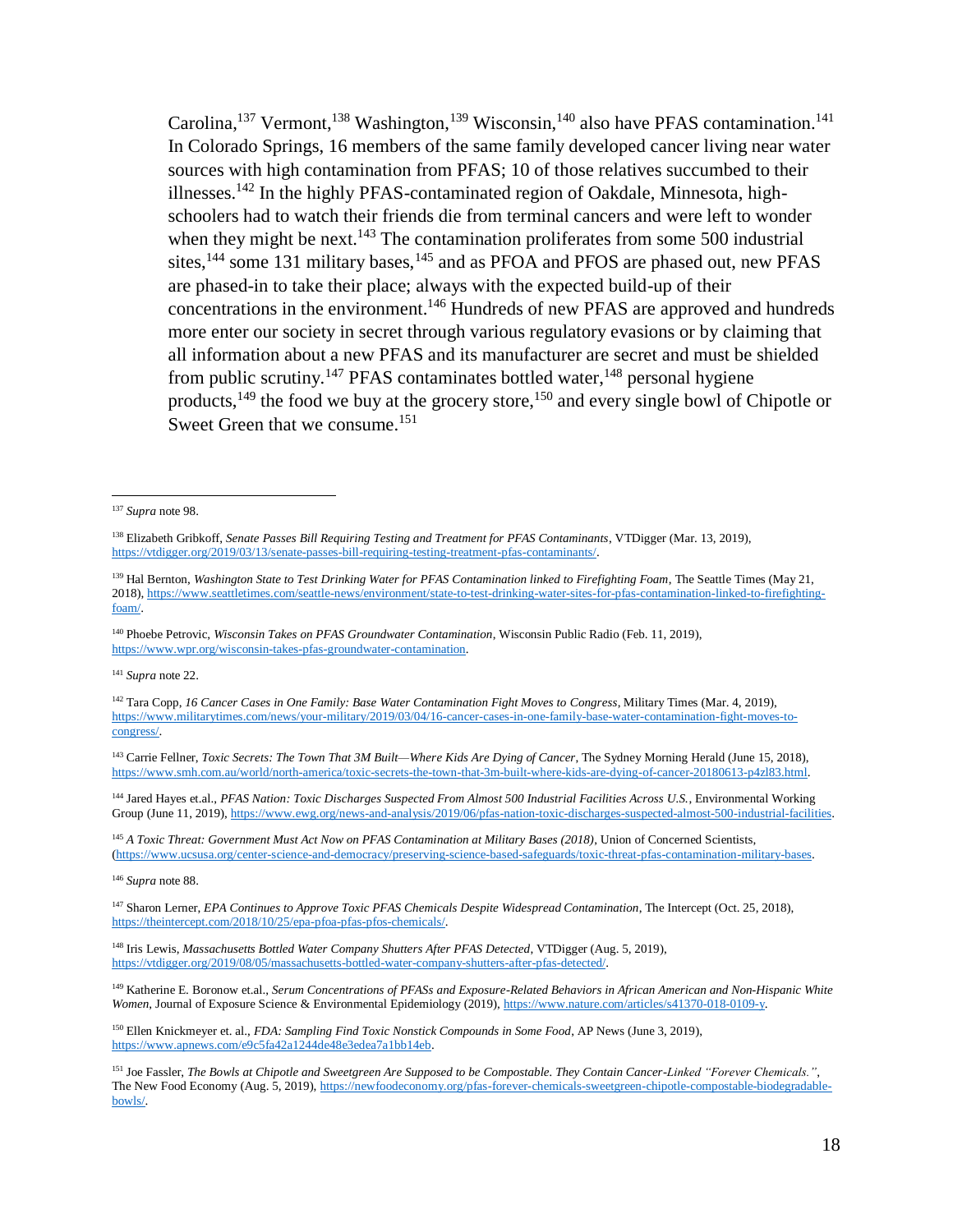Carolina,<sup>137</sup> Vermont,<sup>138</sup> Washington,<sup>139</sup> Wisconsin,<sup>140</sup> also have PFAS contamination.<sup>141</sup> In Colorado Springs, 16 members of the same family developed cancer living near water sources with high contamination from PFAS; 10 of those relatives succumbed to their illnesses.<sup>142</sup> In the highly PFAS-contaminated region of Oakdale, Minnesota, highschoolers had to watch their friends die from terminal cancers and were left to wonder when they might be next.<sup>143</sup> The contamination proliferates from some 500 industrial sites,<sup>144</sup> some 131 military bases,<sup>145</sup> and as PFOA and PFOS are phased out, new PFAS are phased-in to take their place; always with the expected build-up of their concentrations in the environment.<sup>146</sup> Hundreds of new PFAS are approved and hundreds more enter our society in secret through various regulatory evasions or by claiming that all information about a new PFAS and its manufacturer are secret and must be shielded from public scrutiny.<sup>147</sup> PFAS contaminates bottled water,  $148$  personal hygiene products,<sup>149</sup> the food we buy at the grocery store,<sup>150</sup> and every single bowl of Chipotle or Sweet Green that we consume.<sup>151</sup>

j

<sup>141</sup> *Supra* note [22.](#page-4-1)

<sup>142</sup> Tara Copp, *16 Cancer Cases in One Family: Base Water Contamination Fight Moves to Congress*, Military Times (Mar. 4, 2019), [https://www.militarytimes.com/news/your-military/2019/03/04/16-cancer-cases-in-one-family-base-water-contamination-fight-moves-to](https://www.militarytimes.com/news/your-military/2019/03/04/16-cancer-cases-in-one-family-base-water-contamination-fight-moves-to-congress/)[congress/.](https://www.militarytimes.com/news/your-military/2019/03/04/16-cancer-cases-in-one-family-base-water-contamination-fight-moves-to-congress/)

<sup>143</sup> Carrie Fellner, *Toxic Secrets: The Town That 3M Built—Where Kids Are Dying of Cancer*, The Sydney Morning Herald (June 15, 2018), [https://www.smh.com.au/world/north-america/toxic-secrets-the-town-that-3m-built-where-kids-are-dying-of-cancer-20180613-p4zl83.html.](https://www.smh.com.au/world/north-america/toxic-secrets-the-town-that-3m-built-where-kids-are-dying-of-cancer-20180613-p4zl83.html)

<sup>144</sup> Jared Hayes et.al., *PFAS Nation: Toxic Discharges Suspected From Almost 500 Industrial Facilities Across U.S.*, Environmental Working Group (June 11, 2019), [https://www.ewg.org/news-and-analysis/2019/06/pfas-nation-toxic-discharges-suspected-almost-500-industrial-facilities.](https://www.ewg.org/news-and-analysis/2019/06/pfas-nation-toxic-discharges-suspected-almost-500-industrial-facilities)

<sup>145</sup> *A Toxic Threat: Government Must Act Now on PFAS Contamination at Military Bases (2018)*, Union of Concerned Scientists, [\(https://www.ucsusa.org/center-science-and-democracy/preserving-science-based-safeguards/toxic-threat-pfas-contamination-military-bases.](https://www.ucsusa.org/center-science-and-democracy/preserving-science-based-safeguards/toxic-threat-pfas-contamination-military-bases)

<sup>148</sup> Iris Lewis, *Massachusetts Bottled Water Company Shutters After PFAS Detected*, VTDigger (Aug. 5, 2019), [https://vtdigger.org/2019/08/05/massachusetts-bottled-water-company-shutters-after-pfas-detected/.](https://vtdigger.org/2019/08/05/massachusetts-bottled-water-company-shutters-after-pfas-detected/)

<sup>149</sup> Katherine E. Boronow et.al., *Serum Concentrations of PFASs and Exposure-Related Behaviors in African American and Non-Hispanic White Women*, Journal of Exposure Science & Environmental Epidemiology (2019), [https://www.nature.com/articles/s41370-018-0109-y.](https://www.nature.com/articles/s41370-018-0109-y)

<sup>150</sup> Ellen Knickmeyer et. al., *FDA: Sampling Find Toxic Nonstick Compounds in Some Food*, AP News (June 3, 2019), [https://www.apnews.com/e9c5fa42a1244de48e3edea7a1bb14eb.](https://www.apnews.com/e9c5fa42a1244de48e3edea7a1bb14eb)

<sup>137</sup> *Supra* note [98.](#page-13-0)

<sup>138</sup> Elizabeth Gribkoff, *Senate Passes Bill Requiring Testing and Treatment for PFAS Contaminants*, VTDigger (Mar. 13, 2019), [https://vtdigger.org/2019/03/13/senate-passes-bill-requiring-testing-treatment-pfas-contaminants/.](https://vtdigger.org/2019/03/13/senate-passes-bill-requiring-testing-treatment-pfas-contaminants/)

<sup>&</sup>lt;sup>139</sup> Hal Bernton, *Washington State to Test Drinking Water for PFAS Contamination linked to Firefighting Foam*, The Seattle Times (May 21, 2018), [https://www.seattletimes.com/seattle-news/environment/state-to-test-drinking-water-sites-for-pfas-contamination-linked-to-firefighting](https://www.seattletimes.com/seattle-news/environment/state-to-test-drinking-water-sites-for-pfas-contamination-linked-to-firefighting-foam/)[foam/.](https://www.seattletimes.com/seattle-news/environment/state-to-test-drinking-water-sites-for-pfas-contamination-linked-to-firefighting-foam/)

<sup>140</sup> Phoebe Petrovic, *Wisconsin Takes on PFAS Groundwater Contamination*, Wisconsin Public Radio (Feb. 11, 2019), [https://www.wpr.org/wisconsin-takes-pfas-groundwater-contamination.](https://www.wpr.org/wisconsin-takes-pfas-groundwater-contamination)

<sup>146</sup> *Supra* note [88.](#page-11-1)

<sup>147</sup> Sharon Lerner, *EPA Continues to Approve Toxic PFAS Chemicals Despite Widespread Contamination*, The Intercept (Oct. 25, 2018), [https://theintercept.com/2018/10/25/epa-pfoa-pfas-pfos-chemicals/.](https://theintercept.com/2018/10/25/epa-pfoa-pfas-pfos-chemicals/)

<sup>151</sup> Joe Fassler, *The Bowls at Chipotle and Sweetgreen Are Supposed to be Compostable. They Contain Cancer-Linked "Forever Chemicals."*, The New Food Economy (Aug. 5, 2019), [https://newfoodeconomy.org/pfas-forever-chemicals-sweetgreen-chipotle-compostable-biodegradable](https://newfoodeconomy.org/pfas-forever-chemicals-sweetgreen-chipotle-compostable-biodegradable-bowls/)[bowls/.](https://newfoodeconomy.org/pfas-forever-chemicals-sweetgreen-chipotle-compostable-biodegradable-bowls/)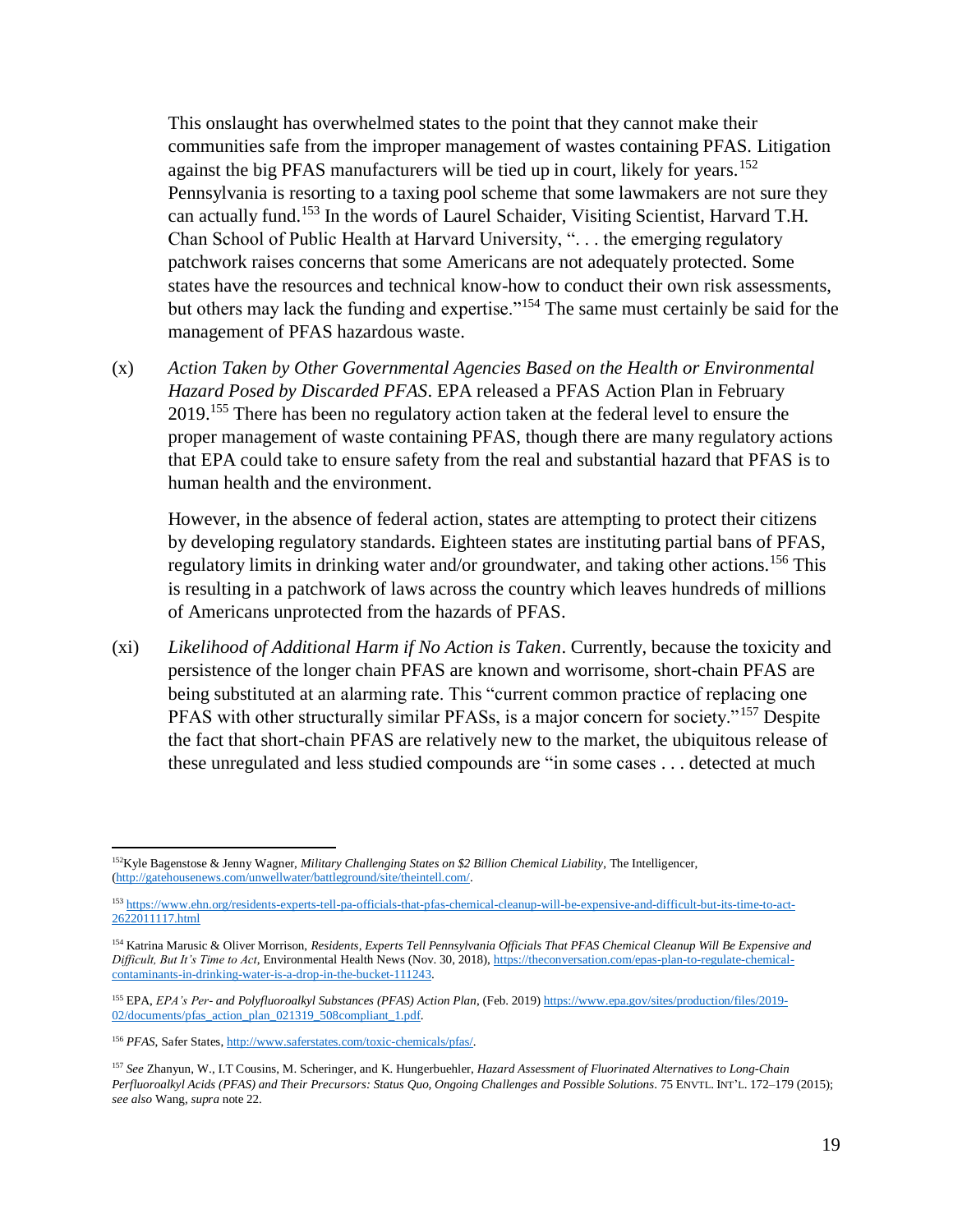This onslaught has overwhelmed states to the point that they cannot make their communities safe from the improper management of wastes containing PFAS. Litigation against the big PFAS manufacturers will be tied up in court, likely for years.<sup>152</sup> Pennsylvania is resorting to a taxing pool scheme that some lawmakers are not sure they can actually fund.<sup>153</sup> In the words of Laurel Schaider, Visiting Scientist, Harvard T.H. Chan School of Public Health at Harvard University, ". . . the emerging regulatory patchwork raises concerns that some Americans are not adequately protected. Some states have the resources and technical know-how to conduct their own risk assessments, but others may lack the funding and expertise."<sup>154</sup> The same must certainly be said for the management of PFAS hazardous waste.

(x) *Action Taken by Other Governmental Agencies Based on the Health or Environmental Hazard Posed by Discarded PFAS*. EPA released a PFAS Action Plan in February 2019.<sup>155</sup> There has been no regulatory action taken at the federal level to ensure the proper management of waste containing PFAS, though there are many regulatory actions that EPA could take to ensure safety from the real and substantial hazard that PFAS is to human health and the environment.

However, in the absence of federal action, states are attempting to protect their citizens by developing regulatory standards. Eighteen states are instituting partial bans of PFAS, regulatory limits in drinking water and/or groundwater, and taking other actions.<sup>156</sup> This is resulting in a patchwork of laws across the country which leaves hundreds of millions of Americans unprotected from the hazards of PFAS.

(xi) *Likelihood of Additional Harm if No Action is Taken*. Currently, because the toxicity and persistence of the longer chain PFAS are known and worrisome, short-chain PFAS are being substituted at an alarming rate. This "current common practice of replacing one PFAS with other structurally similar PFASs, is a major concern for society."<sup>157</sup> Despite the fact that short-chain PFAS are relatively new to the market, the ubiquitous release of these unregulated and less studied compounds are "in some cases . . . detected at much

<sup>152</sup>Kyle Bagenstose & Jenny Wagner, *Military Challenging States on \$2 Billion Chemical Liability*, The Intelligencer, [\(http://gatehousenews.com/unwellwater/battleground/site/theintell.com/.](http://gatehousenews.com/unwellwater/battleground/site/theintell.com/)

<sup>153</sup> [https://www.ehn.org/residents-experts-tell-pa-officials-that-pfas-chemical-cleanup-will-be-expensive-and-difficult-but-its-time-to-act-](https://www.ehn.org/residents-experts-tell-pa-officials-that-pfas-chemical-cleanup-will-be-expensive-and-difficult-but-its-time-to-act-2622011117.html)[2622011117.html](https://www.ehn.org/residents-experts-tell-pa-officials-that-pfas-chemical-cleanup-will-be-expensive-and-difficult-but-its-time-to-act-2622011117.html)

<sup>154</sup> Katrina Marusic & Oliver Morrison, *Residents, Experts Tell Pennsylvania Officials That PFAS Chemical Cleanup Will Be Expensive and Difficult, But It's Time to Act*, Environmental Health News (Nov. 30, 2018), [https://theconversation.com/epas-plan-to-regulate-chemical](https://theconversation.com/epas-plan-to-regulate-chemical-contaminants-in-drinking-water-is-a-drop-in-the-bucket-111243)[contaminants-in-drinking-water-is-a-drop-in-the-bucket-111243.](https://theconversation.com/epas-plan-to-regulate-chemical-contaminants-in-drinking-water-is-a-drop-in-the-bucket-111243)

<sup>&</sup>lt;sup>155</sup> EPA, *EPA's Per- and Polyfluoroalkyl Substances (PFAS) Action Plan*, (Feb. 2019) [https://www.epa.gov/sites/production/files/2019-](https://www.epa.gov/sites/production/files/2019-02/documents/pfas_action_plan_021319_508compliant_1.pdf) [02/documents/pfas\\_action\\_plan\\_021319\\_508compliant\\_1.pdf.](https://www.epa.gov/sites/production/files/2019-02/documents/pfas_action_plan_021319_508compliant_1.pdf)

<sup>156</sup> *PFAS*, Safer States, [http://www.saferstates.com/toxic-chemicals/pfas/.](http://www.saferstates.com/toxic-chemicals/pfas/)

<sup>157</sup> *See* Zhanyun, W., I.T Cousins, M. Scheringer, and K. Hungerbuehler, *Hazard Assessment of Fluorinated Alternatives to Long-Chain Perfluoroalkyl Acids (PFAS) and Their Precursors: Status Quo, Ongoing Challenges and Possible Solutions*. 75 ENVTL. INT'L. 172–179 (2015); *see also* Wang, *supra* not[e 22.](#page-4-1)